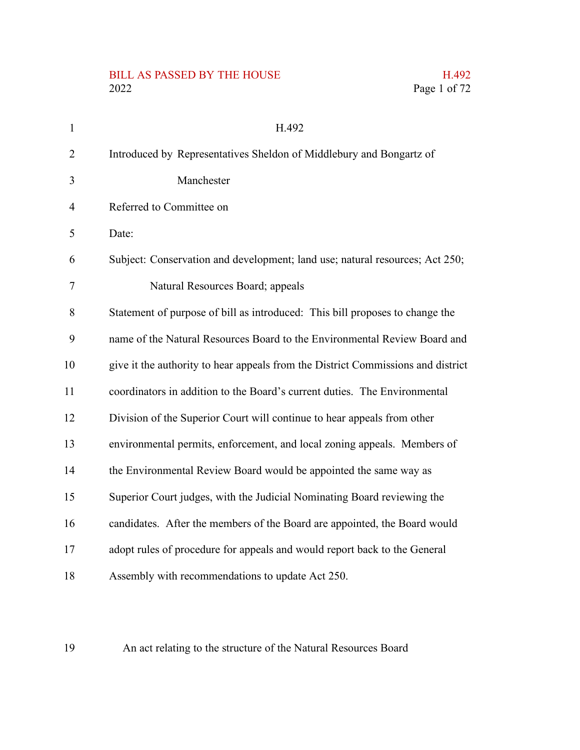# BILL AS PASSED BY THE HOUSE H.492<br>2022 Page 1 of 72

| $\mathbf{1}$   | H.492                                                                            |
|----------------|----------------------------------------------------------------------------------|
| 2              | Introduced by Representatives Sheldon of Middlebury and Bongartz of              |
| 3              | Manchester                                                                       |
| $\overline{4}$ | Referred to Committee on                                                         |
| 5              | Date:                                                                            |
| 6              | Subject: Conservation and development; land use; natural resources; Act 250;     |
| 7              | Natural Resources Board; appeals                                                 |
| 8              | Statement of purpose of bill as introduced: This bill proposes to change the     |
| 9              | name of the Natural Resources Board to the Environmental Review Board and        |
| 10             | give it the authority to hear appeals from the District Commissions and district |
| 11             | coordinators in addition to the Board's current duties. The Environmental        |
| 12             | Division of the Superior Court will continue to hear appeals from other          |
| 13             | environmental permits, enforcement, and local zoning appeals. Members of         |
| 14             | the Environmental Review Board would be appointed the same way as                |
| 15             | Superior Court judges, with the Judicial Nominating Board reviewing the          |
| 16             | candidates. After the members of the Board are appointed, the Board would        |
| 17             | adopt rules of procedure for appeals and would report back to the General        |
| 18             | Assembly with recommendations to update Act 250.                                 |

Page 1 of 72

An act relating to the structure of the Natural Resources Board 19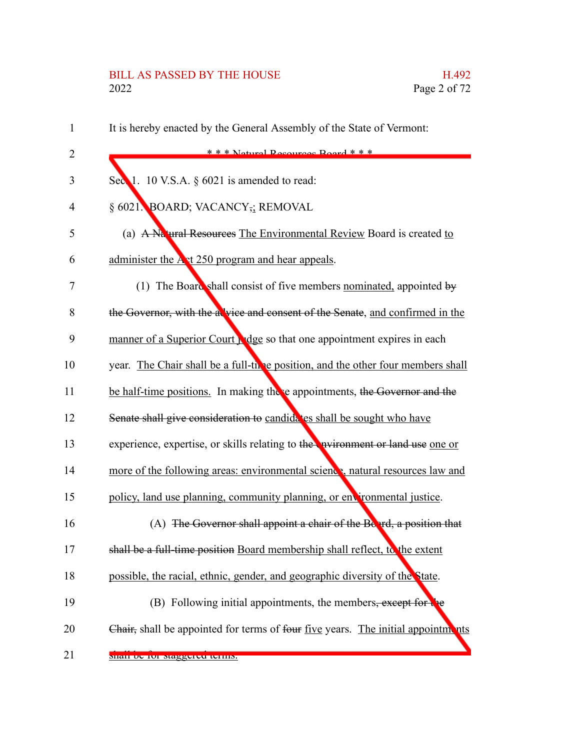# BILL AS PASSED BY THE HOUSE H.492<br>2022 Page 2 of 72

| $\mathbf{1}$   | It is hereby enacted by the General Assembly of the State of Vermont:                       |
|----------------|---------------------------------------------------------------------------------------------|
| $\overline{2}$ | $* * *$ Notural Recourses Roard $* * *$                                                     |
| 3              | Sec $\blacksquare$ 1. 10 V.S.A. § 6021 is amended to read:                                  |
| 4              | § 6021. BOARD; VACANCY <sub>72</sub> REMOVAL                                                |
| 5              | (a) A Na ural Resources The Environmental Review Board is created to                        |
| 6              | administer the A <sub>st</sub> 250 program and hear appeals.                                |
| 7              | (1) The Board shall consist of five members nominated, appointed by                         |
| 8              | the Governor, with the a vice and consent of the Senate, and confirmed in the               |
| 9              | manner of a Superior Court ridge so that one appointment expires in each                    |
| 10             | year. The Chair shall be a full-thre position, and the other four members shall             |
| 11             | be half-time positions. In making there appointments, the Governor and the                  |
| 12             | Senate shall give consideration to candida tes shall be sought who have                     |
| 13             | experience, expertise, or skills relating to the <b>evilled</b> proposed or land use one or |
| 14             | more of the following areas: environmental science, natural resources law and               |
| 15             | policy, land use planning, community planning, or environmental justice.                    |
| 16             | (A) The Governor shall appoint a chair of the Board, a position that                        |
| 17             | shall be a full-time position Board membership shall reflect, to the extent                 |
| 18             | possible, the racial, ethnic, gender, and geographic diversity of the State.                |
| 19             | (B) Following initial appointments, the members, except for the                             |
| 20             | Chair, shall be appointed for terms of four five years. The initial appointments            |
| 21             | snan oc for staggered terms.                                                                |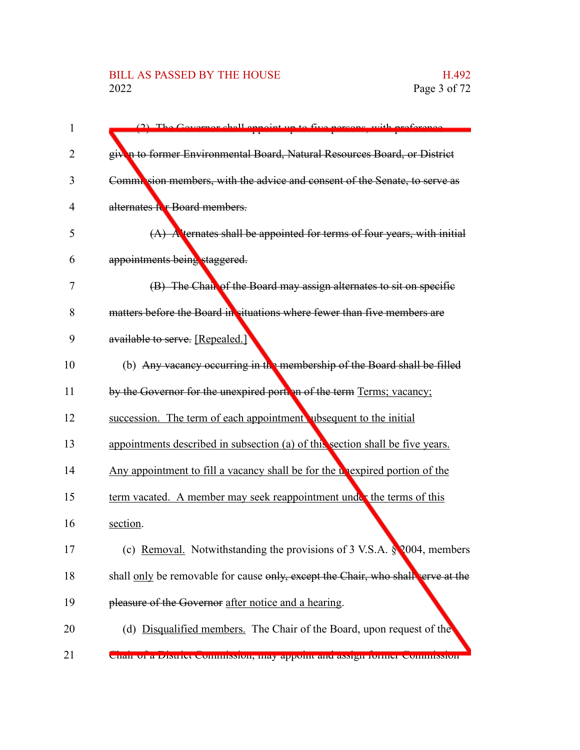#### BILL AS PASSED BY THE HOUSE H.492<br>2022 Page 3 of 72

| 1  | (2) The Covernor shall annoint up to five persons with proference                  |
|----|------------------------------------------------------------------------------------|
| 2  | given to former Environmental Board, Natural Resources Board, or District          |
| 3  | Commission members, with the advice and consent of the Senate, to serve as         |
| 4  | alternates for Board members.                                                      |
| 5  | $(A)$ A ternates shall be appointed for terms of four years, with initial          |
| 6  | appointments being staggered.                                                      |
| 7  | (B) The Chair of the Board may assign alternates to sit on specific                |
| 8  | matters before the Board in situations where fewer than five members are           |
| 9  | available to serve. [Repealed.]                                                    |
| 10 | (b) Any vacancy occurring in the membership of the Board shall be filled           |
| 11 | by the Governor for the unexpired portion of the term Terms; vacancy;              |
| 12 | succession. The term of each appointment ubsequent to the initial                  |
| 13 | appointments described in subsection (a) of this section shall be five years.      |
| 14 | Any appointment to fill a vacancy shall be for the unexpired portion of the        |
| 15 | term vacated. A member may seek reappointment under the terms of this              |
| 16 | section.                                                                           |
| 17 | (c) Removal. Notwithstanding the provisions of 3 V.S.A. $\sqrt[8]{2004}$ , members |
| 18 | shall only be removable for cause only, except the Chair, who shall serve at the   |
| 19 | pleasure of the Governor after notice and a hearing.                               |
| 20 | (d) Disqualified members. The Chair of the Board, upon request of the              |
| 21 | Chan or a District Commission, may appoint and assign former Commission            |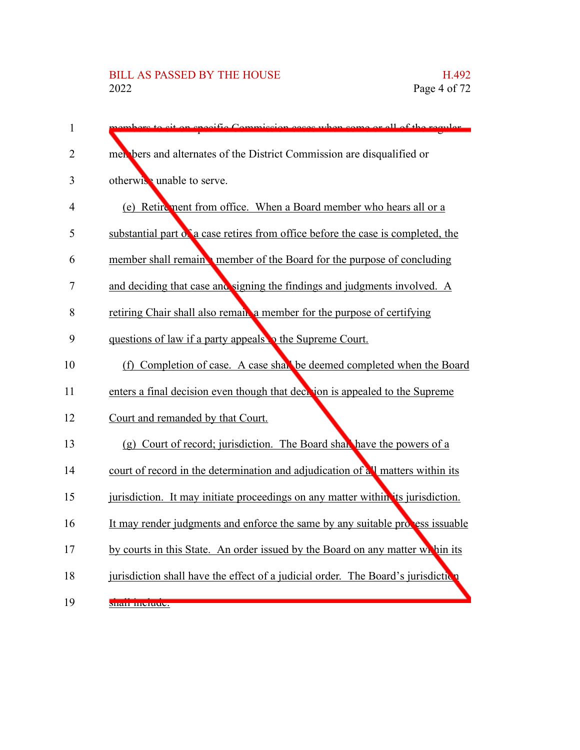## BILL AS PASSED BY THE HOUSE H.492<br>2022 Page 4 of 72

| $\mathbf{1}$   | on gregifia Commission agoos when some                                           |
|----------------|----------------------------------------------------------------------------------|
| 2              | men bers and alternates of the District Commission are disqualified or           |
| 3              | otherwise unable to serve.                                                       |
| 4              | (e) Retirement from office. When a Board member who hears all or a               |
| 5              | substantial part of a case retires from office before the case is completed, the |
| 6              | member shall remain member of the Board for the purpose of concluding            |
| $\overline{7}$ | and deciding that case and signing the findings and judgments involved. A        |
| 8              | retiring Chair shall also remain a member for the purpose of certifying          |
| 9              | questions of law if a party appeals to the Supreme Court.                        |
| 10             | (f) Completion of case. A case shall be deemed completed when the Board          |
| 11             | enters a final decision even though that deck jon is appealed to the Supreme     |
| 12             | Court and remanded by that Court.                                                |
| 13             | (g) Court of record; jurisdiction. The Board shall have the powers of a          |
| 14             | court of record in the determination and adjudication of all matters within its  |
| 15             | jurisdiction. It may initiate proceedings on any matter within its jurisdiction. |
| 16             | It may render judgments and enforce the same by any suitable process issuable    |
| 17             | by courts in this State. An order issued by the Board on any matter while its    |
| 18             | jurisdiction shall have the effect of a judicial order. The Board's jurisdiction |
| 19             | $\frac{1}{2}$ shah mutuut.                                                       |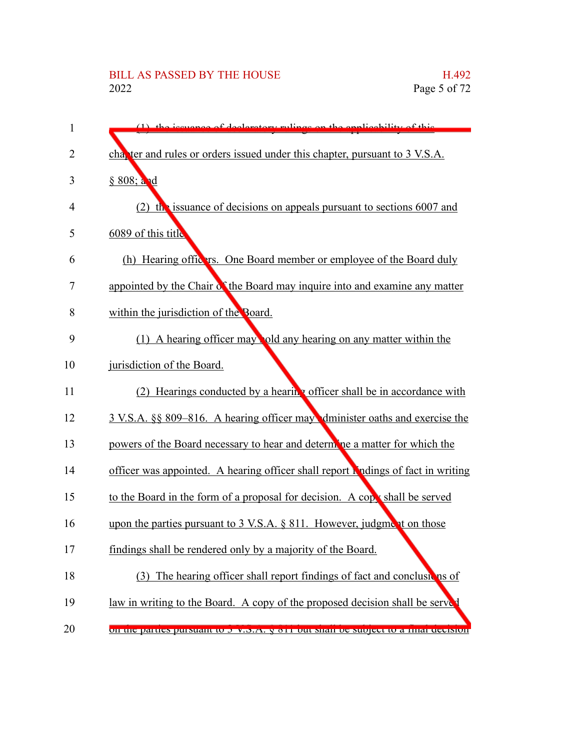## BILL AS PASSED BY THE HOUSE H.492<br>2022 Page 5 of 72

| 1              | devetory rulings on the englicability of this                                       |
|----------------|-------------------------------------------------------------------------------------|
| $\overline{2}$ | cha, ter and rules or orders issued under this chapter, pursuant to 3 V.S.A.        |
| 3              | § 808; and                                                                          |
| 4              | (2) the issuance of decisions on appeals pursuant to sections $6007$ and            |
| 5              | 6089 of this title                                                                  |
| 6              | (h) Hearing officers. One Board member or employee of the Board duly                |
| 7              | appointed by the Chair of the Board may inquire into and examine any matter         |
| 8              | within the jurisdiction of the Board.                                               |
| 9              | (1) A hearing officer may old any hearing on any matter within the                  |
| 10             | jurisdiction of the Board.                                                          |
| 11             | (2) Hearings conducted by a hearing officer shall be in accordance with             |
| 12             | 3 V.S.A. §§ 809–816. A hearing officer may dminister oaths and exercise the         |
| 13             | powers of the Board necessary to hear and determine a matter for which the          |
| 14             | officer was appointed. A hearing officer shall report hindings of fact in writing   |
| 15             | to the Board in the form of a proposal for decision. A copy shall be served         |
| 16             | upon the parties pursuant to 3 V.S.A. § 811. However, judgment on those             |
| 17             | findings shall be rendered only by a majority of the Board.                         |
| 18             | (3) The hearing officer shall report findings of fact and conclusions of            |
| 19             | law in writing to the Board. A copy of the proposed decision shall be serve         |
| 20             | on the parties pursuant to 5 v.S.A. y or 1 out share oc subject to a milar decision |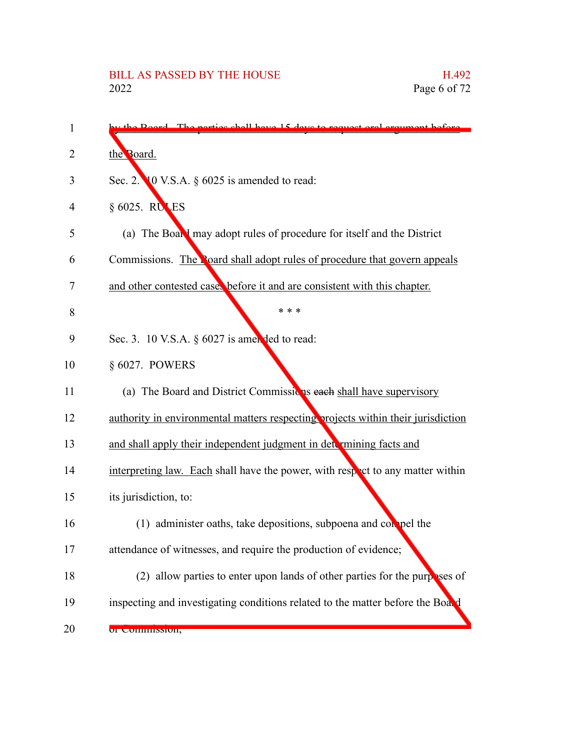| 1  | the Roard The nexties shall have 15 days to request<br><u>oumant hafara</u>      |
|----|----------------------------------------------------------------------------------|
| 2  | the Board.                                                                       |
| 3  | Sec. 2. 10 V.S.A. $\S$ 6025 is amended to read:                                  |
| 4  | $§ 6025$ . RULES                                                                 |
| 5  | (a) The Board may adopt rules of procedure for itself and the District           |
| 6  | Commissions. The Poard shall adopt rules of procedure that govern appeals        |
| 7  | and other contested cases before it and are consistent with this chapter.        |
| 8  | * * *                                                                            |
| 9  | Sec. 3. 10 V.S.A. $\S$ 6027 is amended to read:                                  |
| 10 | § 6027. POWERS                                                                   |
| 11 | (a) The Board and District Commissions each shall have supervisory               |
| 12 | authority in environmental matters respecting projects within their jurisdiction |
| 13 | and shall apply their independent judgment in determining facts and              |
| 14 | interpreting law. Each shall have the power, with respect to any matter within   |
| 15 | its jurisdiction, to:                                                            |
| 16 | (1) administer oaths, take depositions, subpoena and compel the                  |
| 17 | attendance of witnesses, and require the production of evidence;                 |
| 18 | (2) allow parties to enter upon lands of other parties for the purposes of       |
| 19 | inspecting and investigating conditions related to the matter before the Board   |
| 20 | UI CUIHHIINSIUII,                                                                |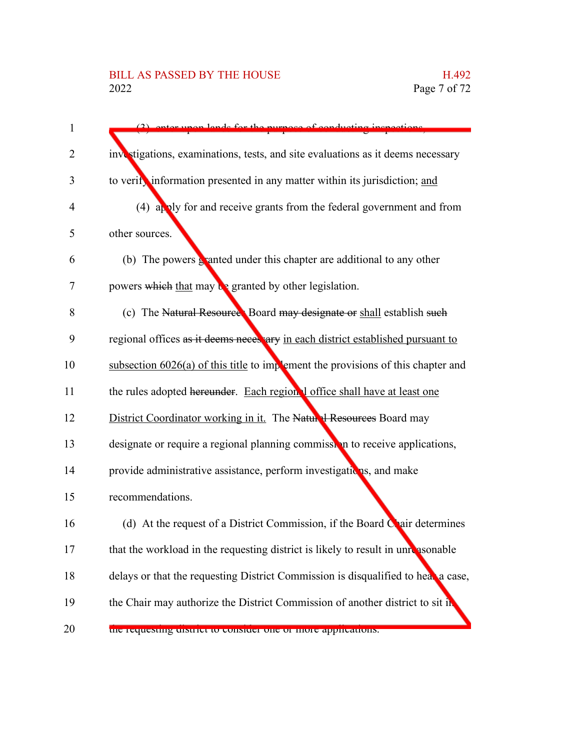### BILL AS PASSED BY THE HOUSE H.492<br>2022 Page 7 of 72

| 1  | (2) onter upon lands for the nurnese of conducting inspections.                    |
|----|------------------------------------------------------------------------------------|
| 2  | investigations, examinations, tests, and site evaluations as it deems necessary    |
| 3  | to verify information presented in any matter within its jurisdiction; and         |
| 4  | (4) apply for and receive grants from the federal government and from              |
| 5  | other sources.                                                                     |
| 6  | (b) The powers $\frac{1}{2}$ anted under this chapter are additional to any other  |
| 7  | powers which that may be granted by other legislation.                             |
| 8  | (c) The Natural Resource. Board may designate or shall establish such              |
| 9  | regional offices as it deems necessary in each district established pursuant to    |
| 10 | subsection $6026(a)$ of this title to implement the provisions of this chapter and |
| 11 | the rules adopted hereunder. Each region I office shall have at least one          |
| 12 | District Coordinator working in it. The Natural Resources Board may                |
| 13 | designate or require a regional planning commission to receive applications,       |
| 14 | provide administrative assistance, perform investigations, and make                |
| 15 | recommendations.                                                                   |
| 16 | (d) At the request of a District Commission, if the Board Chair determines         |
| 17 | that the workload in the requesting district is likely to result in unreasonable   |
| 18 | delays or that the requesting District Commission is disqualified to heal a case,  |
| 19 | the Chair may authorize the District Commission of another district to sit in      |
| 20 | the requesting uistrict to consider one or more apprications.                      |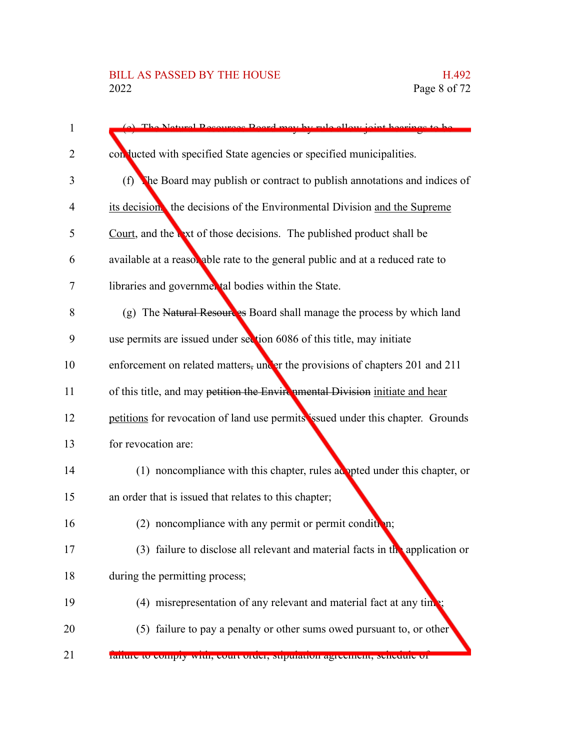| 1  | (a) The Netwol Decourses Roard may by rule ellow joint begrings to be           |
|----|---------------------------------------------------------------------------------|
| 2  | con lucted with specified State agencies or specified municipalities.           |
| 3  | (f)<br>The Board may publish or contract to publish annotations and indices of  |
| 4  | its decision the decisions of the Environmental Division and the Supreme        |
| 5  | Court, and the waxt of those decisions. The published product shall be          |
| 6  | available at a reasor able rate to the general public and at a reduced rate to  |
| 7  | libraries and governmental bodies within the State.                             |
| 8  | (g) The Natural Resources Board shall manage the process by which land          |
| 9  | use permits are issued under section 6086 of this title, may initiate           |
| 10 | enforcement on related matters, under the provisions of chapters 201 and 211    |
| 11 | of this title, and may petition the Envirenmental Division initiate and hear    |
| 12 | petitions for revocation of land use permits issued under this chapter. Grounds |
| 13 | for revocation are:                                                             |
| 14 | $(1)$ noncompliance with this chapter, rules adopted under this chapter, or     |
| 15 | an order that is issued that relates to this chapter;                           |
| 16 | noncompliance with any permit or permit condition;                              |
| 17 | (3) failure to disclose all relevant and material facts in the application or   |
| 18 | during the permitting process;                                                  |
| 19 | (4) misrepresentation of any relevant and material fact at any time;            |
| 20 | (5) failure to pay a penalty or other sums owed pursuant to, or other           |
| 21 | ranure to compry with, court order, supulation agreement, schedule or           |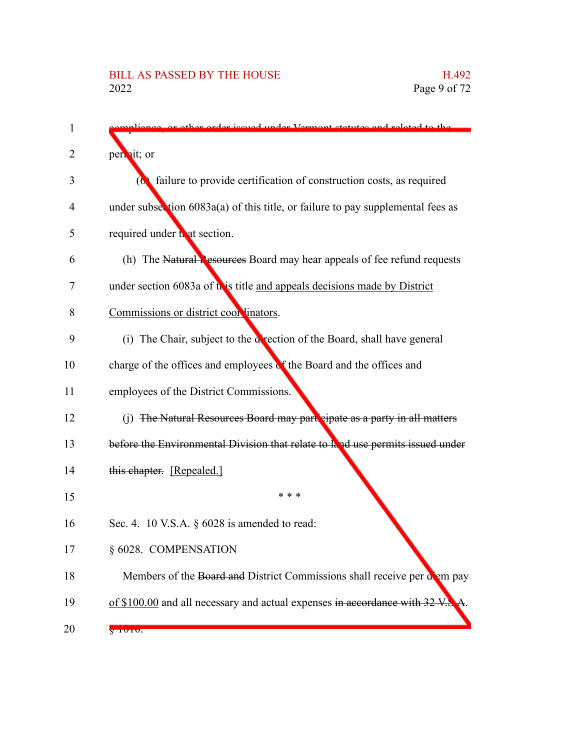| 1  | arder issued under Vermont statutes and related to the                            |
|----|-----------------------------------------------------------------------------------|
| 2  | perinit; or                                                                       |
| 3  | (c) failure to provide certification of construction costs, as required           |
| 4  | under subsection $6083a(a)$ of this title, or failure to pay supplemental fees as |
| 5  | required under to at section.                                                     |
| 6  | (h) The Natural Resources Board may hear appeals of fee refund requests           |
| 7  | under section 6083a of this title and appeals decisions made by District          |
| 8  | Commissions or district coordinators.                                             |
| 9  | (i) The Chair, subject to the direction of the Board, shall have general          |
| 10 | charge of the offices and employees of the Board and the offices and              |
| 11 | employees of the District Commissions.                                            |
| 12 | (j) The Natural Resources Board may part eipate as a party in all matters         |
| 13 | before the Environmental Division that relate to land use permits issued under    |
| 14 | this chapter. [Repealed.]                                                         |
| 15 | * * *                                                                             |
| 16 | Sec. 4. 10 V.S.A. § 6028 is amended to read:                                      |
| 17 | § 6028. COMPENSATION                                                              |
| 18 | Members of the Board and District Commissions shall receive per down pay          |
| 19 | of \$100.00 and all necessary and actual expenses in accordance with 32 V.        |
| 20 | <del>iviv</del> .                                                                 |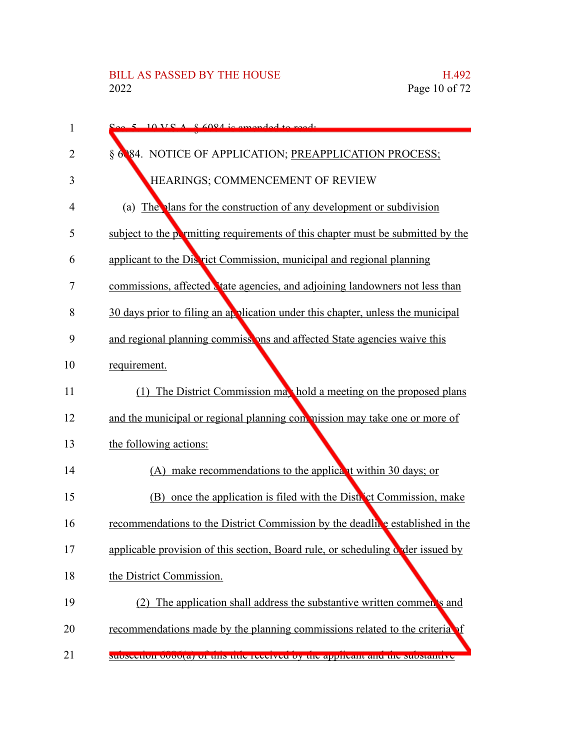| $\mathbf{1}$ | $\sim$ 5 10 VC A $\&$ 6084 is amonded to read.                                  |
|--------------|---------------------------------------------------------------------------------|
| 2            | § 6084. NOTICE OF APPLICATION; PREAPPLICATION PROCESS;                          |
| 3            | HEARINGS; COMMENCEMENT OF REVIEW                                                |
| 4            | (a) The plans for the construction of any development or subdivision            |
| 5            | subject to the permitting requirements of this chapter must be submitted by the |
| 6            | applicant to the Discrict Commission, municipal and regional planning           |
| 7            | commissions, affected vate agencies, and adjoining landowners not less than     |
| 8            | 30 days prior to filing an application under this chapter, unless the municipal |
| 9            | and regional planning commissions and affected State agencies waive this        |
| 10           | requirement.                                                                    |
| 11           | (1) The District Commission may hold a meeting on the proposed plans            |
| 12           | and the municipal or regional planning commission may take one or more of       |
| 13           | the following actions:                                                          |
| 14           | (A) make recommendations to the applicant within 30 days; or                    |
| 15           | (B) once the application is filed with the District Commission, make            |
| 16           | recommendations to the District Commission by the deadline established in the   |
| 17           | applicable provision of this section, Board rule, or scheduling order issued by |
| 18           | the District Commission.                                                        |
| 19           | (2) The application shall address the substantive written commen's and          |
| 20           | recommendations made by the planning commissions related to the criteria of     |
| 21           | subsection ovou(a) or this thic received by the applicant and the substantive   |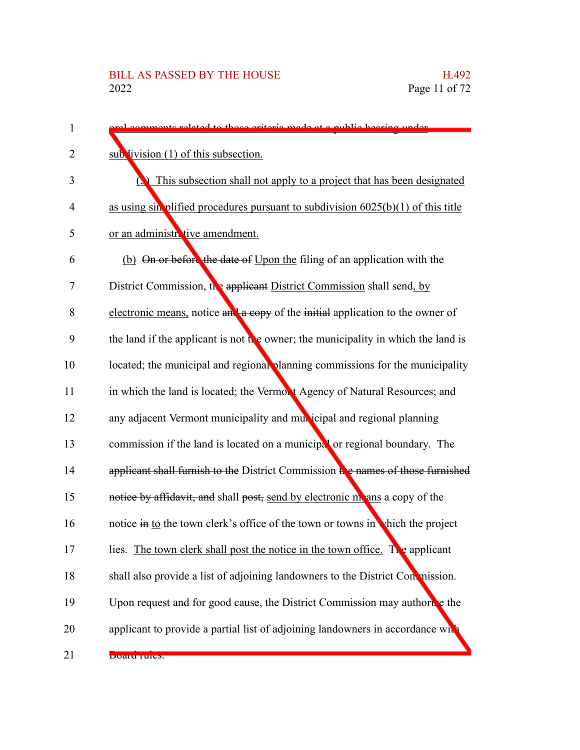| 1  | related to those criteria made at a public hearing under                           |
|----|------------------------------------------------------------------------------------|
| 2  | sub livision (1) of this subsection.                                               |
| 3  | This subsection shall not apply to a project that has been designated              |
| 4  | as using sin plified procedures pursuant to subdivision $6025(b)(1)$ of this title |
| 5  | or an administrative amendment.                                                    |
| 6  | (b) On or before the date of Upon the filing of an application with the            |
| 7  | District Commission, the applicant District Commission shall send, by              |
| 8  | electronic means, notice an a copy of the initial application to the owner of      |
| 9  | the land if the applicant is not the owner; the municipality in which the land is  |
| 10 | located; the municipal and regional planning commissions for the municipality      |
| 11 | in which the land is located; the Vermont Agency of Natural Resources; and         |
| 12 | any adjacent Vermont municipality and municipal and regional planning              |
| 13 | commission if the land is located on a municipal or regional boundary. The         |
| 14 | applicant shall furnish to the District Commission the names of those furnished    |
| 15 | notice by affidavit, and shall post, send by electronic means a copy of the        |
| 16 | notice in to the town clerk's office of the town or towns in which the project     |
| 17 | lies. The town clerk shall post the notice in the town office. The applicant       |
| 18 | shall also provide a list of adjoining landowners to the District Con mission.     |
| 19 | Upon request and for good cause, the District Commission may authorice the         |
| 20 | applicant to provide a partial list of adjoining landowners in accordance wh       |
| 21 | DUAIU TUIUS.                                                                       |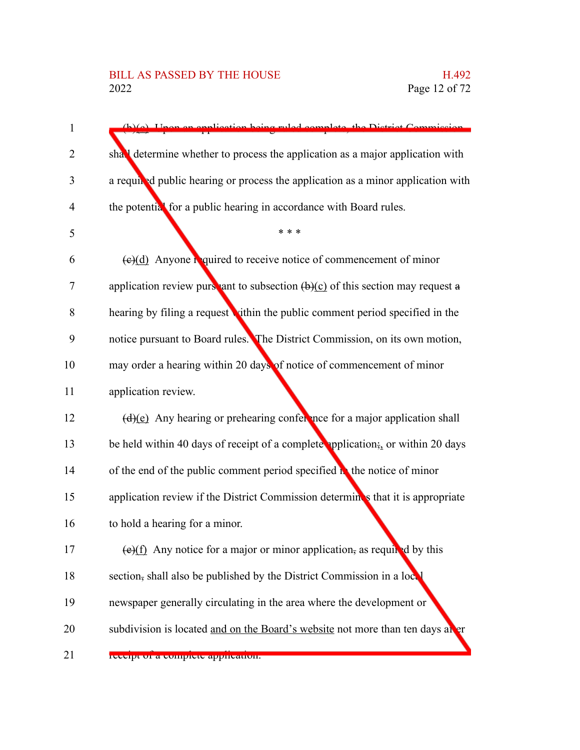| $\mathbf{1}$   | (b)(e) Hnon an application being ruled complete, the District Commission                    |
|----------------|---------------------------------------------------------------------------------------------|
| 2              | shall determine whether to process the application as a major application with              |
| 3              | a required public hearing or process the application as a minor application with            |
| $\overline{4}$ | the potential for a public hearing in accordance with Board rules.                          |
| 5              | * * *                                                                                       |
| 6              | $(e)(d)$ Anyone required to receive notice of commencement of minor                         |
| 7              | application review purst ant to subsection $(\theta)(c)$ of this section may request a      |
| 8              | hearing by filing a request vithin the public comment period specified in the               |
| 9              | notice pursuant to Board rules. The District Commission, on its own motion,                 |
| 10             | may order a hearing within 20 days of notice of commencement of minor                       |
| 11             | application review.                                                                         |
| 12             | $(d)(e)$ Any hearing or prehearing conference for a major application shall                 |
| 13             | be held within 40 days of receipt of a complete application; or within 20 days              |
| 14             | of the end of the public comment period specified $\mathbf{h}$ the notice of minor          |
| 15             | application review if the District Commission determines that it is appropriate             |
| 16             | to hold a hearing for a minor.                                                              |
| 17             | $\left(\frac{e}{f}\right)$ Any notice for a major or minor application, as required by this |
| 18             | section, shall also be published by the District Commission in a local                      |
| 19             | newspaper generally circulating in the area where the development or                        |
| 20             | subdivision is located and on the Board's website not more than ten days at er              |
| 21             | receipt or a comprete apprication.                                                          |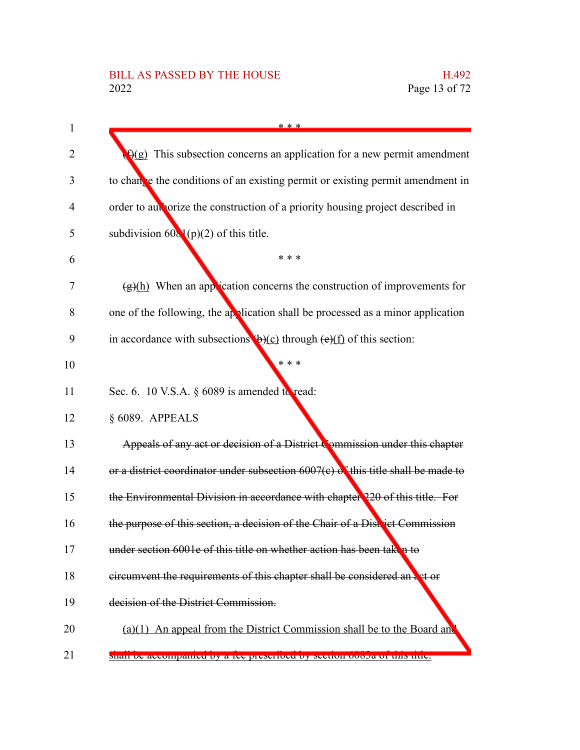| $\mathbf{1}$   | * * *                                                                                               |
|----------------|-----------------------------------------------------------------------------------------------------|
| 2              | $\Theta(g)$ This subsection concerns an application for a new permit amendment                      |
|                |                                                                                                     |
| 3              | to change the conditions of an existing permit or existing permit amendment in                      |
| $\overline{4}$ | order to aux orize the construction of a priority housing project described in                      |
| 5              | subdivision $60\sqrt{(p)}(2)$ of this title.                                                        |
| 6              | * * *                                                                                               |
| 7              | $(g)(h)$ When an application concerns the construction of improvements for                          |
| 8              | one of the following, the application shall be processed as a minor application                     |
| 9              | in accordance with subsections $\mathbf{b}$ (c) through $\left(\frac{e}{f}\right)$ of this section: |
| 10             | * * *                                                                                               |
| 11             | Sec. 6. 10 V.S.A. $\S$ 6089 is amended to read:                                                     |
| 12             | § 6089. APPEALS                                                                                     |
| 13             | Appeals of any act or decision of a District Commission under this chapter                          |
| 14             | or a district coordinator under subsection $6007(c)$ of this title shall be made to                 |
| 15             | the Environmental Division in accordance with chapter 220 of this title. For                        |
| 16             | the purpose of this section, a decision of the Chair of a District Commission                       |
| 17             | under section 6001e of this title on whether action has been taken to                               |
| 18             | eircumvent the requirements of this chapter shall be considered an act or                           |
| 19             | decision of the District Commission.                                                                |
| 20             | $(a)(1)$ An appeal from the District Commission shall be to the Board and                           |
| 21             | shah oc accompanied by a tec prescribed by secuoli oboda of this thic.                              |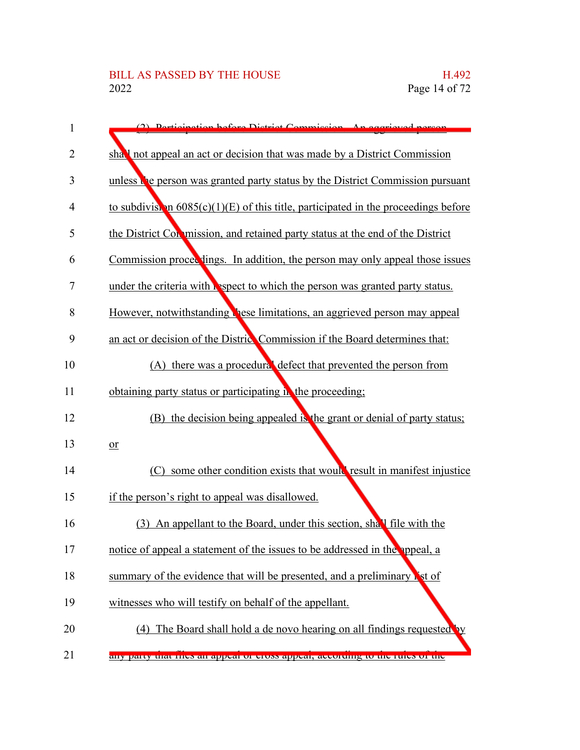| 1              | Dorticination before District Commission An aggricuat person                          |
|----------------|---------------------------------------------------------------------------------------|
| $\overline{2}$ | shall not appeal an act or decision that was made by a District Commission            |
| 3              | unless the person was granted party status by the District Commission pursuant        |
| $\overline{4}$ | to subdivist in $6085(c)(1)(E)$ of this title, participated in the proceedings before |
| 5              | the District Con mission, and retained party status at the end of the District        |
| 6              | Commission proceedings. In addition, the person may only appeal those issues          |
| $\overline{7}$ | under the criteria with <i>lespect</i> to which the person was granted party status.  |
| 8              | However, notwithstanding these limitations, an aggrieved person may appeal            |
| 9              | an act or decision of the Distric Commission if the Board determines that:            |
| 10             | (A) there was a procedural defect that prevented the person from                      |
| 11             | obtaining party status or participating in the proceeding;                            |
| 12             | (B) the decision being appealed is the grant or denial of party status;               |
| 13             | $or$                                                                                  |
| 14             | some other condition exists that would result in manifest injustice<br>(C)            |
| 15             | if the person's right to appeal was disallowed.                                       |
| 16             | (3) An appellant to the Board, under this section, shall file with the                |
| 17             | notice of appeal a statement of the issues to be addressed in the appeal, a           |
| 18             | summary of the evidence that will be presented, and a preliminary ist of              |
| 19             | witnesses who will testify on behalf of the appellant.                                |
| 20             | The Board shall hold a de novo hearing on all findings requested by<br>(4)            |
| 21             | any party that thes an appear of cross appear, according to the rules of the          |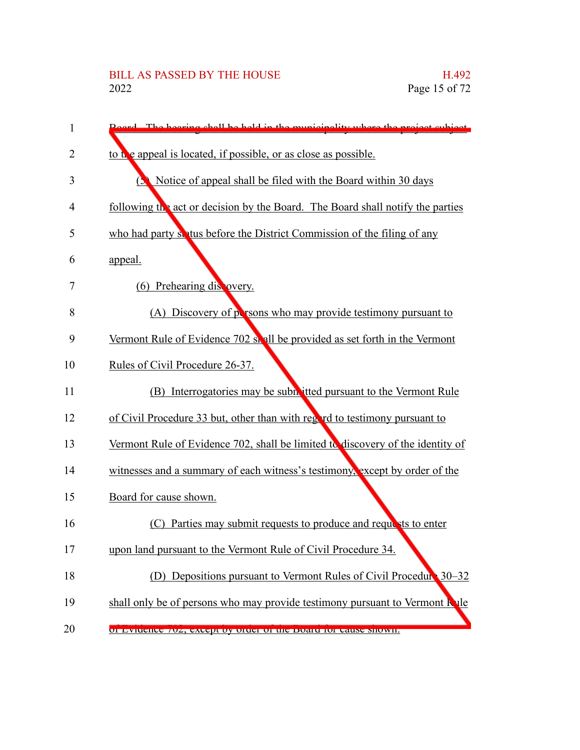| 1  | Roard. The bearing shall be hold in the municipality where the project subject.     |
|----|-------------------------------------------------------------------------------------|
| 2  | to the appeal is located, if possible, or as close as possible.                     |
| 3  | Notice of appeal shall be filed with the Board within 30 days<br>Ь                  |
| 4  | following the act or decision by the Board. The Board shall notify the parties      |
| 5  | who had party sentus before the District Commission of the filing of any            |
| 6  | appeal.                                                                             |
| 7  | (6) Prehearing dis overy.                                                           |
| 8  | (A) Discovery of persons who may provide testimony pursuant to                      |
| 9  | Vermont Rule of Evidence 702 shall be provided as set forth in the Vermont          |
| 10 | Rules of Civil Procedure 26-37.                                                     |
| 11 | (B) Interrogatories may be subh itted pursuant to the Vermont Rule                  |
| 12 | of Civil Procedure 33 but, other than with regard to testimony pursuant to          |
| 13 | Vermont Rule of Evidence 702, shall be limited to discovery of the identity of      |
| 14 | witnesses and a summary of each witness's testimony, except by order of the         |
| 15 | Board for cause shown.                                                              |
| 16 | Parties may submit requests to produce and requests to enter<br>(C)                 |
| 17 | upon land pursuant to the Vermont Rule of Civil Procedure 34.                       |
| 18 | (D) Depositions pursuant to Vermont Rules of Civil Procedure 30–32                  |
| 19 | shall only be of persons who may provide testimony pursuant to Vermont <b>R</b> vle |
| 20 | 01 EVIDENCE / 02, CACCPT DY ORIGE OF THE DOMER TOF CAUSE SHOW II.                   |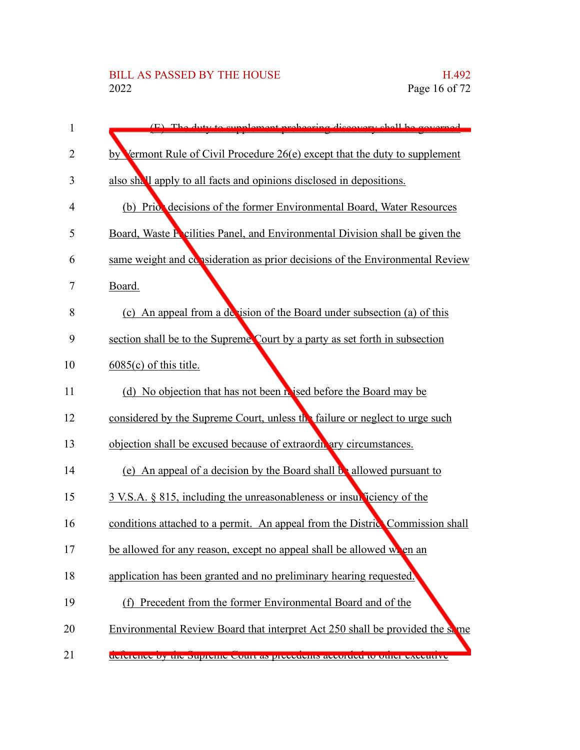| 1              | $(F)$ The duty to symploment probosing discovery shall be covered             |
|----------------|-------------------------------------------------------------------------------|
| $\overline{2}$ | by Vermont Rule of Civil Procedure 26(e) except that the duty to supplement   |
| 3              | also shall apply to all facts and opinions disclosed in depositions.          |
| 4              | (b) Priot decisions of the former Environmental Board, Water Resources        |
| 5              | Board, Waste Focilities Panel, and Environmental Division shall be given the  |
| 6              | same weight and consideration as prior decisions of the Environmental Review  |
| 7              | Board.                                                                        |
| 8              | (c) An appeal from a decision of the Board under subsection (a) of this       |
| 9              | section shall be to the Supreme Court by a party as set forth in subsection   |
| 10             | $6085(c)$ of this title.                                                      |
| 11             | (d) No objection that has not been his ised before the Board may be           |
| 12             | considered by the Supreme Court, unless the failure or neglect to urge such   |
| 13             | objection shall be excused because of extraordivary circumstances.            |
| 14             | (e) An appeal of a decision by the Board shall be allowed pursuant to         |
| 15             | 3 V.S.A. § 815, including the unreasonableness or insulficiency of the        |
| 16             | conditions attached to a permit. An appeal from the District Commission shall |
| 17             | be allowed for any reason, except no appeal shall be allowed when an          |
| 18             | application has been granted and no preliminary hearing requested.            |
| 19             | (f) Precedent from the former Environmental Board and of the                  |
| 20             | Environmental Review Board that interpret Act 250 shall be provided the same  |
| 21             | determine by the supreme court as precedents accorded to other executive      |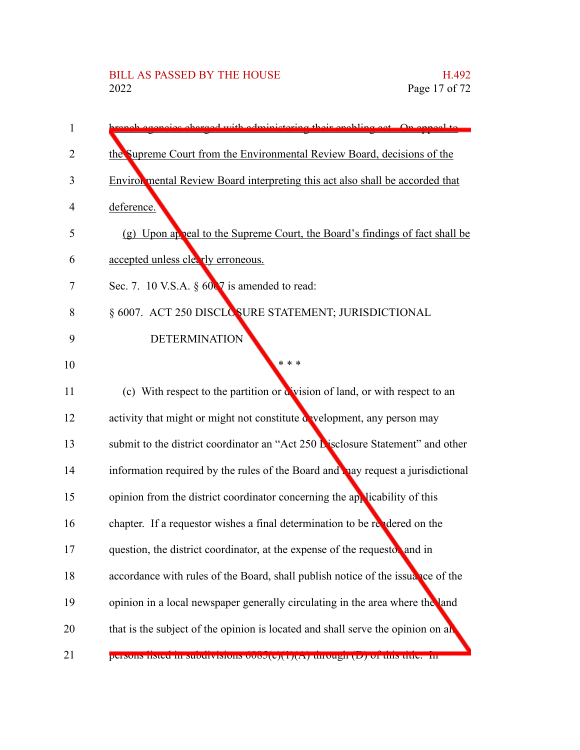| 1  | repoise charged with administering their enabling get. On anneal to              |
|----|----------------------------------------------------------------------------------|
| 2  | the Supreme Court from the Environmental Review Board, decisions of the          |
| 3  | Enviror mental Review Board interpreting this act also shall be accorded that    |
| 4  | deference.                                                                       |
| 5  | (g) Upon appeal to the Supreme Court, the Board's findings of fact shall be      |
| 6  | accepted unless clearly erroneous.                                               |
| 7  | Sec. 7. 10 V.S.A. $\S$ 60 $\nabla$ is amended to read:                           |
| 8  | § 6007. ACT 250 DISCLOSURE STATEMENT; JURISDICTIONAL                             |
| 9  | <b>DETERMINATION</b>                                                             |
| 10 | * * *                                                                            |
| 11 | (c) With respect to the partition or a vision of land, or with respect to an     |
| 12 | activity that might or might not constitute a velopment, any person may          |
| 13 | submit to the district coordinator an "Act 250 Lisclosure Statement" and other   |
| 14 | information required by the rules of the Board and pay request a jurisdictional  |
| 15 | opinion from the district coordinator concerning the applicability of this       |
| 16 | chapter. If a requestor wishes a final determination to be replaced on the       |
| 17 | question, the district coordinator, at the expense of the requestor and in       |
| 18 | accordance with rules of the Board, shall publish notice of the issuance of the  |
| 19 | opinion in a local newspaper generally circulating in the area where the land    |
| 20 | that is the subject of the opinion is located and shall serve the opinion on all |
| 21 | persons instea in subdivisions 0000(c)(1)(A) unough (D) or this title. In        |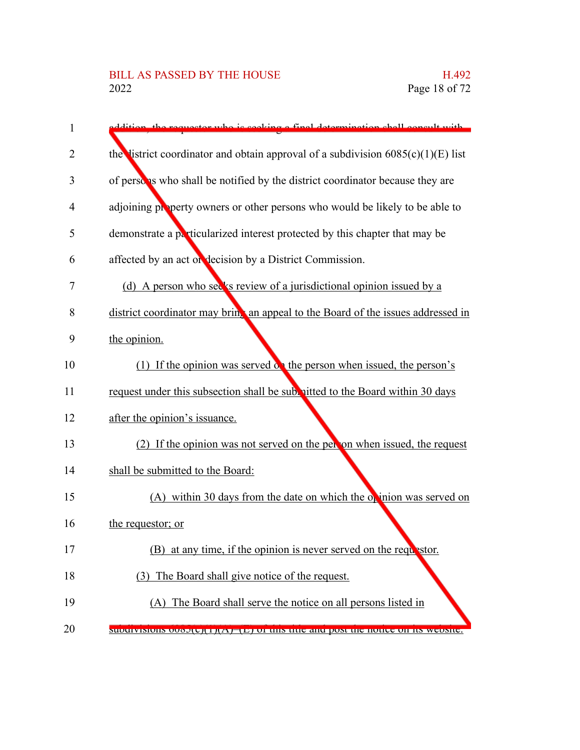| 1              | mestor who is seeking a final determination shall consult with                              |
|----------------|---------------------------------------------------------------------------------------------|
| $\overline{2}$ | the listrict coordinator and obtain approval of a subdivision $6085(c)(1)(E)$ list          |
| 3              | of persons who shall be notified by the district coordinator because they are               |
| $\overline{4}$ | adjoining property owners or other persons who would be likely to be able to                |
| 5              | demonstrate a particularized interest protected by this chapter that may be                 |
| 6              | affected by an act or decision by a District Commission.                                    |
| 7              | (d) A person who see's review of a jurisdictional opinion issued by a                       |
| 8              | district coordinator may bring an appeal to the Board of the issues addressed in            |
| 9              | the opinion.                                                                                |
| 10             | (1) If the opinion was served on the person when issued, the person's                       |
| 11             | request under this subsection shall be subvitted to the Board within 30 days                |
| 12             | after the opinion's issuance.                                                               |
| 13             | (2) If the opinion was not served on the person when issued, the request                    |
| 14             | shall be submitted to the Board:                                                            |
| 15             | (A) within 30 days from the date on which the opinion was served on                         |
| 16             | the requestor; or                                                                           |
| 17             | (B) at any time, if the opinion is never served on the require stor.                        |
| 18             | (3) The Board shall give notice of the request.                                             |
| 19             | (A) The Board shall serve the notice on all persons listed in                               |
| 20             | <b>SUDUITVISIONS OVODICII I III A FIEI I OI UNS UNC anu post ulc notice on its website.</b> |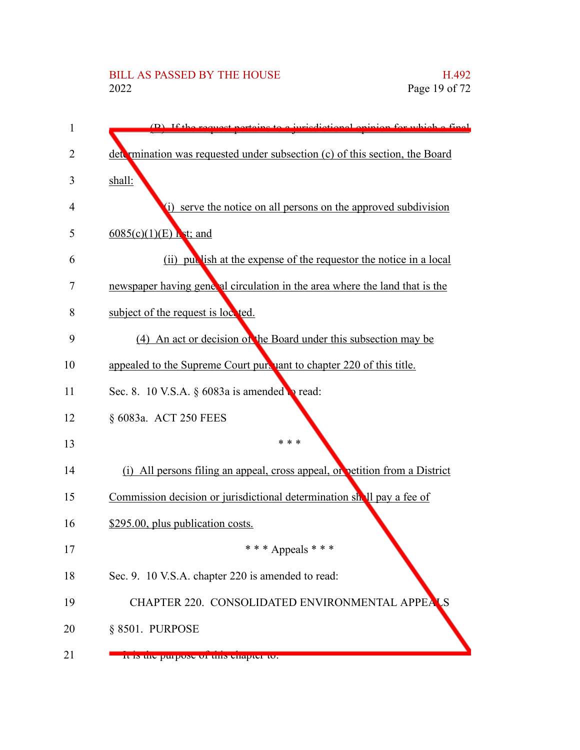| 1  | (B) If the request pertains to a jurisdictional opinion for which a final   |
|----|-----------------------------------------------------------------------------|
| 2  | determination was requested under subsection (c) of this section, the Board |
| 3  | shall:                                                                      |
| 4  | (i) serve the notice on all persons on the approved subdivision             |
| 5  | $\underline{6085(c)(1)(E)}$ Lst; and                                        |
| 6  | (ii) publish at the expense of the requestor the notice in a local          |
| 7  | newspaper having general circulation in the area where the land that is the |
| 8  | subject of the request is locked.                                           |
| 9  | (4) An act or decision of the Board under this subsection may be            |
| 10 | appealed to the Supreme Court pure year to chapter 220 of this title.       |
| 11 | Sec. 8. 10 V.S.A. $\S$ 6083a is amended to read:                            |
| 12 | § 6083a. ACT 250 FEES                                                       |
| 13 | * * *                                                                       |
| 14 | (i) All persons filing an appeal, cross appeal, or petition from a District |
| 15 | Commission decision or jurisdictional determination shall pay a fee of      |
| 16 | \$295.00, plus publication costs.                                           |
| 17 | *** Appeals ***                                                             |
| 18 | Sec. 9. 10 V.S.A. chapter 220 is amended to read:                           |
| 19 | CHAPTER 220. CONSOLIDATED ENVIRONMENTAL APPEALS                             |
| 20 | § 8501. PURPOSE                                                             |
| 21 | It is the purpose of this chapter to.                                       |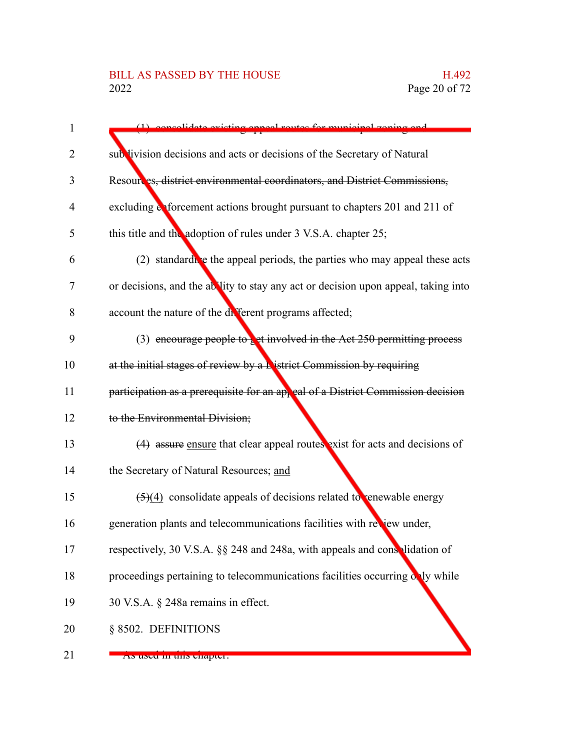| 1              | (1) consolidate evicting anneal reutes for municipal zoning an                         |
|----------------|----------------------------------------------------------------------------------------|
| 2              | sublivision decisions and acts or decisions of the Secretary of Natural                |
| 3              | Resources, district environmental coordinators, and District Commissions,              |
| $\overline{4}$ | excluding a forcement actions brought pursuant to chapters 201 and 211 of              |
| 5              | this title and the adoption of rules under 3 V.S.A. chapter 25;                        |
| 6              | (2) standard e the appeal periods, the parties who may appeal these acts               |
| 7              | or decisions, and the ablity to stay any act or decision upon appeal, taking into      |
| 8              | account the nature of the different programs affected;                                 |
| 9              | (3) encourage people to bet involved in the Act $250$ permitting process               |
| 10             | at the initial stages of review by a <b>N</b> istrict Commission by requiring          |
| 11             | participation as a prerequisite for an appeal of a District Commission decision        |
| 12             | to the Environmental Division;                                                         |
| 13             | (4) assure ensure that clear appeal routes exist for acts and decisions of             |
| 14             | the Secretary of Natural Resources; and                                                |
| 15             | $\left(\frac{5}{4}\right)$ consolidate appeals of decisions related to enewable energy |
| 16             | generation plants and telecommunications facilities with review under,                 |
| 17             | respectively, 30 V.S.A. §§ 248 and 248a, with appeals and conselidation of             |
| 18             | proceedings pertaining to telecommunications facilities occurring only while           |
| 19             | 30 V.S.A. § 248a remains in effect.                                                    |
| 20             | § 8502. DEFINITIONS                                                                    |
| 21             | As used in this enapter.                                                               |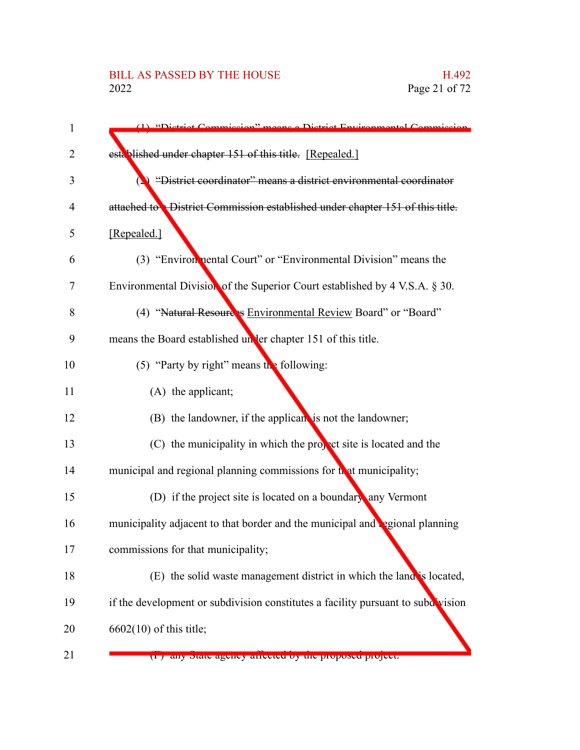| 1  | (1) "District Commission" means a District Environmental Commission                  |
|----|--------------------------------------------------------------------------------------|
| 2  | established under chapter 151 of this title. [Repealed.]                             |
| 3  | "District coordinator" means a district environmental coordinator                    |
| 4  | attached to <b>District Commission established under chapter 151 of this title</b> . |
| 5  | [Repealed.]                                                                          |
| 6  | (3) "Environ nental Court" or "Environmental Division" means the                     |
| 7  | Environmental Division of the Superior Court established by 4 V.S.A. § 30.           |
| 8  | (4) "Natural Resources Environmental Review Board" or "Board"                        |
| 9  | means the Board established under chapter 151 of this title.                         |
| 10 | (5) "Party by right" means the following:                                            |
| 11 | (A) the applicant;                                                                   |
| 12 | (B) the landowner, if the applicant is not the landowner;                            |
| 13 | (C) the municipality in which the propect site is located and the                    |
| 14 | municipal and regional planning commissions for that municipality;                   |
| 15 | (D) if the project site is located on a boundary any Vermont                         |
| 16 | municipality adjacent to that border and the municipal and regional planning         |
| 17 | commissions for that municipality;                                                   |
| 18 | (E) the solid waste management district in which the land is located,                |
| 19 | if the development or subdivision constitutes a facility pursuant to subdivision     |
| 20 | $6602(10)$ of this title;                                                            |
| 21 | (1) any state agency arrected by the proposed project.                               |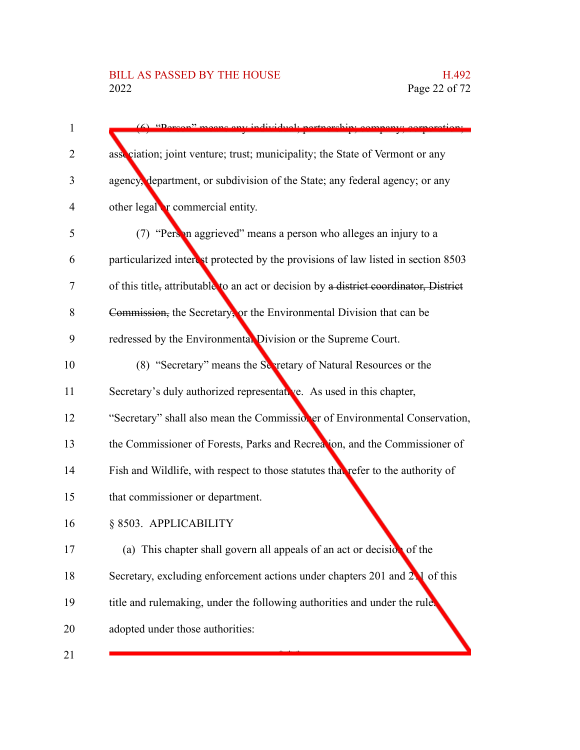| $\mathbf{1}$ | (6) "Derson" means any individual northership con                                                 |
|--------------|---------------------------------------------------------------------------------------------------|
| 2            | association; joint venture; trust; municipality; the State of Vermont or any                      |
|              |                                                                                                   |
| 3            | agency, department, or subdivision of the State; any federal agency; or any                       |
| 4            | other legal <b>r</b> commercial entity.                                                           |
| 5            | (7) "Person aggrieved" means a person who alleges an injury to a                                  |
| 6            | particularized interest protected by the provisions of law listed in section 8503                 |
| 7            | of this title <sub>z</sub> attributable to an act or decision by a district coordinator, District |
| 8            | Commission, the Secretary, or the Environmental Division that can be                              |
| 9            | redressed by the Environmental Division or the Supreme Court.                                     |
| 10           | (8) "Secretary" means the Secretary of Natural Resources or the                                   |
| 11           | Secretary's duly authorized representative. As used in this chapter,                              |
| 12           | "Secretary" shall also mean the Commissioner of Environmental Conservation,                       |
| 13           | the Commissioner of Forests, Parks and Recreation, and the Commissioner of                        |
| 14           | Fish and Wildlife, with respect to those statutes that refer to the authority of                  |
| 15           | that commissioner or department.                                                                  |
| 16           | § 8503. APPLICABILITY                                                                             |
| 17           | (a) This chapter shall govern all appeals of an act or decision of the                            |
| 18           | Secretary, excluding enforcement actions under chapters 201 and 21 of this                        |
| 19           | title and rulemaking, under the following authorities and under the rule.                         |
| 20           | adopted under those authorities:                                                                  |
| 21           |                                                                                                   |

21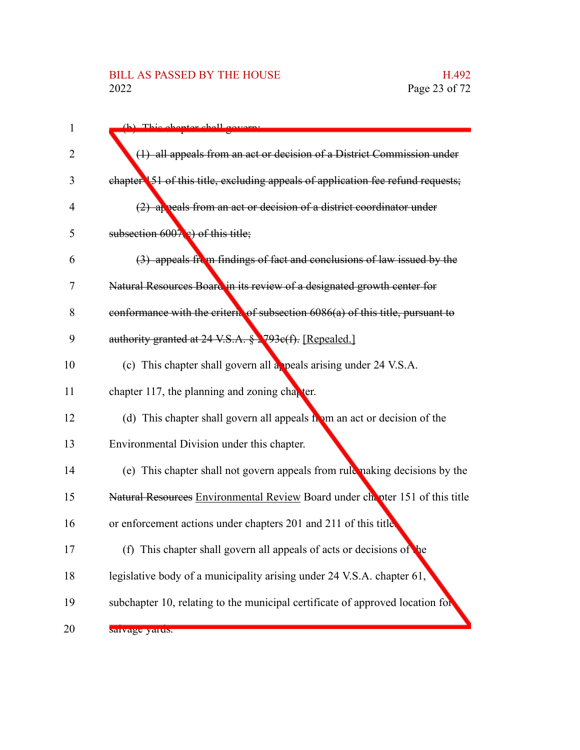### BILL AS PASSED BY THE HOUSE H.492<br>2022 Page 23 of 72

| 1  | (h) This chanter shall covers                                                    |
|----|----------------------------------------------------------------------------------|
| 2  | (1) all appeals from an act or decision of a District Commission under           |
| 3  | chapter 151 of this title, excluding appeals of application fee refund requests; |
| 4  | (2) appeals from an act or decision of a district coordinator under              |
| 5  | subsection $600\sqrt{\epsilon}$ ) of this title;                                 |
| 6  | $(3)$ appeals from findings of fact and conclusions of law issued by the         |
| 7  | Natural Resources Board in its review of a designated growth center for          |
| 8  | conformance with the criteric of subsection 6086(a) of this title, pursuant to   |
| 9  | authority granted at 24 V.S.A. § 2793e(f). [Repealed.]                           |
| 10 | (c) This chapter shall govern all a peals arising under 24 V.S.A.                |
| 11 | chapter 117, the planning and zoning chapter.                                    |
| 12 | (d) This chapter shall govern all appeals hom an act or decision of the          |
| 13 | Environmental Division under this chapter.                                       |
| 14 | (e) This chapter shall not govern appeals from rule naking decisions by the      |
| 15 | Natural Resources Environmental Review Board under chapter 151 of this title     |
| 16 | or enforcement actions under chapters 201 and 211 of this title                  |
| 17 | (f) This chapter shall govern all appeals of acts or decisions of the            |
| 18 | legislative body of a municipality arising under 24 V.S.A. chapter 61,           |
| 19 | subchapter 10, relating to the municipal certificate of approved location for    |
| 20 | sarvage yarus.                                                                   |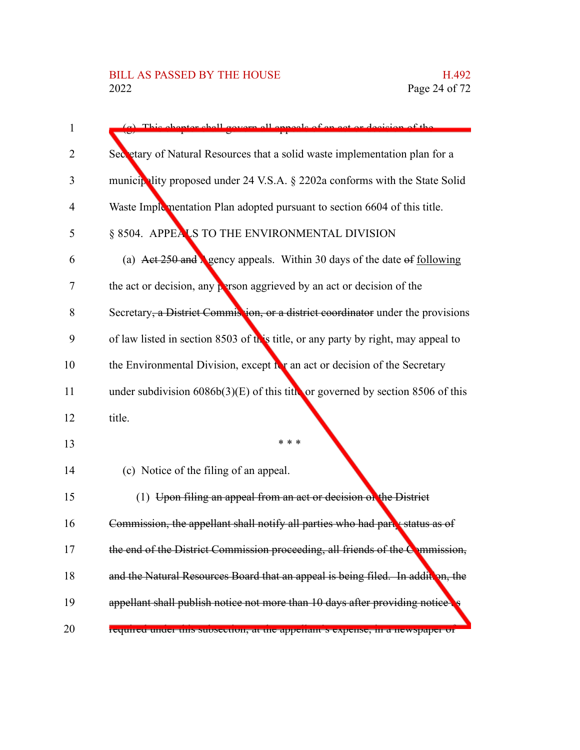| $\mathbf{1}$   | (a) This chapter shall govern all appeals of an ect or decision of the            |
|----------------|-----------------------------------------------------------------------------------|
| $\overline{2}$ | Secretary of Natural Resources that a solid waste implementation plan for a       |
| 3              | municipality proposed under 24 V.S.A. § 2202a conforms with the State Solid       |
| $\overline{4}$ | Waste Implementation Plan adopted pursuant to section 6604 of this title.         |
| 5              | § 8504. APPEALS TO THE ENVIRONMENTAL DIVISION                                     |
| 6              | (a) Act 250 and <i>s</i> gency appeals. Within 30 days of the date of following   |
| 7              | the act or decision, any person aggrieved by an act or decision of the            |
| 8              | Secretary, a District Commission, or a district coordinator under the provisions  |
| 9              | of law listed in section 8503 of this title, or any party by right, may appeal to |
| 10             | the Environmental Division, except for an act or decision of the Secretary        |
| 11             | under subdivision $6086b(3)(E)$ of this title or governed by section 8506 of this |
| 12             | title.                                                                            |
| 13             | * * *                                                                             |
| 14             | (c) Notice of the filing of an appeal.                                            |
| 15             | (1) Upon filing an appeal from an act or decision on the District                 |
| 16             | Commission, the appellant shall notify all parties who had party status as of     |
| 17             | the end of the District Commission proceeding, all friends of the Commission,     |
| 18             | and the Natural Resources Board that an appeal is being filed. In addition, the   |
| 19             | appellant shall publish notice not more than 10 days after providing notice       |
| 20             | required under uns subsection, at the appenant s expense, in a newspaper or       |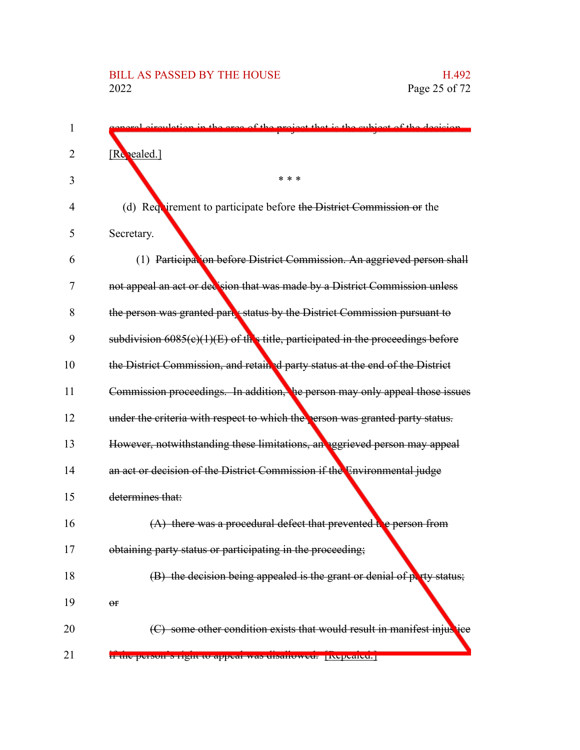| 1  | quhigot of the degicion<br>of the project                                         |
|----|-----------------------------------------------------------------------------------|
| 2  | [Repealed.]                                                                       |
| 3  | * * *                                                                             |
| 4  | (d) Requirement to participate before the District Commission or the              |
| 5  | Secretary.                                                                        |
| 6  | (1) Participation before District Commission. An aggrieved person shall           |
| 7  | not appeal an act or decision that was made by a District Commission unless       |
| 8  | the person was granted part x status by the District Commission pursuant to       |
| 9  | subdivision $6085(c)(1)(E)$ of this title, participated in the proceedings before |
| 10 | the District Commission, and retained party status at the end of the District     |
| 11 | Commission proceedings. In addition, he person may only appeal those issues       |
| 12 | under the criteria with respect to which the person was granted party status.     |
| 13 | However, notwithstanding these limitations, an aggrieved person may appeal        |
| 14 | an act or decision of the District Commission if the Environmental judge          |
| 15 | determines that:                                                                  |
| 16 | $(A)$ there was a procedural defect that prevented the person from                |
| 17 | obtaining party status or participating in the proceeding;                        |
| 18 | (B) the decision being appealed is the grant or denial of party status;           |
| 19 | $\Theta$ f                                                                        |
| 20 | some other condition exists that would result in manifest injustice               |
| 21 | II the person s right to appear was uisanowed. Inepeated.                         |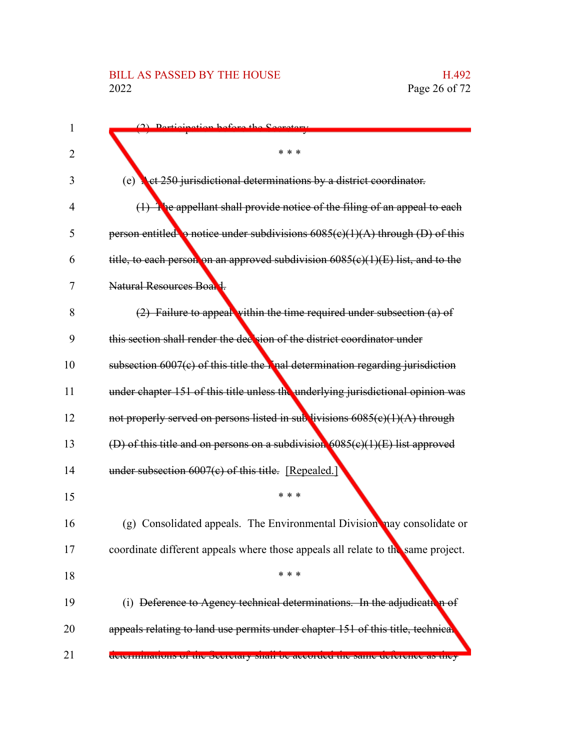### BILL AS PASSED BY THE HOUSE H.492<br>2022 Page 26 of 72

| 1  | (2) Dortioination hafare the Coorators                                                     |
|----|--------------------------------------------------------------------------------------------|
| 2  | * * *                                                                                      |
| 3  | (e)<br><b>A</b> et 250 jurisdictional determinations by a district coordinator.            |
| 4  | The appellant shall provide notice of the filing of an appeal to each<br>$\leftrightarrow$ |
| 5  | person entitled $\bullet$ notice under subdivisions $6085(c)(1)(A)$ through (D) of this    |
| 6  | title, to each person on an approved subdivision $6085(c)(1)(E)$ list, and to the          |
| 7  | Natural Resources Board.                                                                   |
| 8  | $(2)$ Failure to appeal within the time required under subsection $(a)$ of                 |
| 9  | this section shall render the decision of the district coordinator under                   |
| 10 | subsection $6007(c)$ of this title the $\Gamma$ nal determination regarding jurisdiction   |
| 11 | under chapter 151 of this title unless the underlying jurisdictional opinion was           |
| 12 | not properly served on persons listed in sub livisions $6085(c)(1)(A)$ through             |
| 13 | (D) of this title and on persons on a subdivision $6085(c)(1)(E)$ list approved            |
| 14 | under subsection $6007(c)$ of this title. [Repealed.]                                      |
| 15 | * * *                                                                                      |
| 16 | (g) Consolidated appeals. The Environmental Division nay consolidate or                    |
| 17 | coordinate different appeals where those appeals all relate to the same project.           |
| 18 | * * *                                                                                      |
| 19 | (i) Deference to Agency technical determinations. In the adjudication of                   |
| 20 | appeals relating to land use permits under chapter 151 of this title, technical            |
| 21 | <del>acternimations of the secretary shall be accorded the same deference as they</del>    |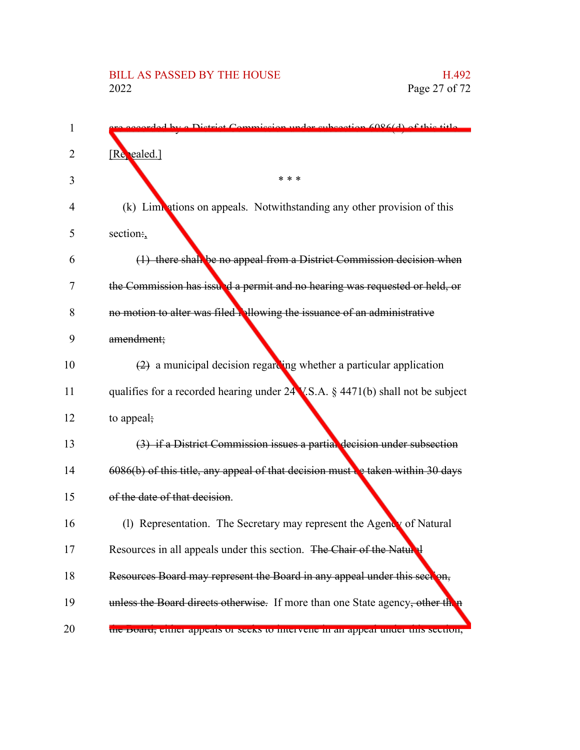| 1  | ded by a District Commission under subsection 6086(d) of this title               |
|----|-----------------------------------------------------------------------------------|
| 2  | [Repealed.]                                                                       |
| 3  | * * *                                                                             |
| 4  | (k) Limitations on appeals. Notwithstanding any other provision of this           |
| 5  | section:                                                                          |
| 6  | (1) there shall be no appeal from a District Commission decision when             |
| 7  | the Commission has issued a permit and no hearing was requested or held, or       |
| 8  | no motion to alter was filed blowing the issuance of an administrative            |
| 9  | amendment;                                                                        |
| 10 | $(2)$ a municipal decision regarding whether a particular application             |
| 11 | qualifies for a recorded hearing under 24 V.S.A. § 4471(b) shall not be subject   |
| 12 | to appeal;                                                                        |
| 13 | (3) if a District Commission issues a partial decision under subsection           |
| 14 | $6086(b)$ of this title, any appeal of that decision must be taken within 30 days |
| 15 | of the date of that decision.                                                     |
| 16 | (1) Representation. The Secretary may represent the Agency of Natural             |
| 17 | Resources in all appeals under this section. The Chair of the Natural             |
| 18 | Resources Board may represent the Board in any appeal under this seedon,          |
| 19 | unless the Board directs otherwise. If more than one State agency, other then     |
| 20 | the Board, cluict appeals of seeks to finervene in an appear under this secuon,   |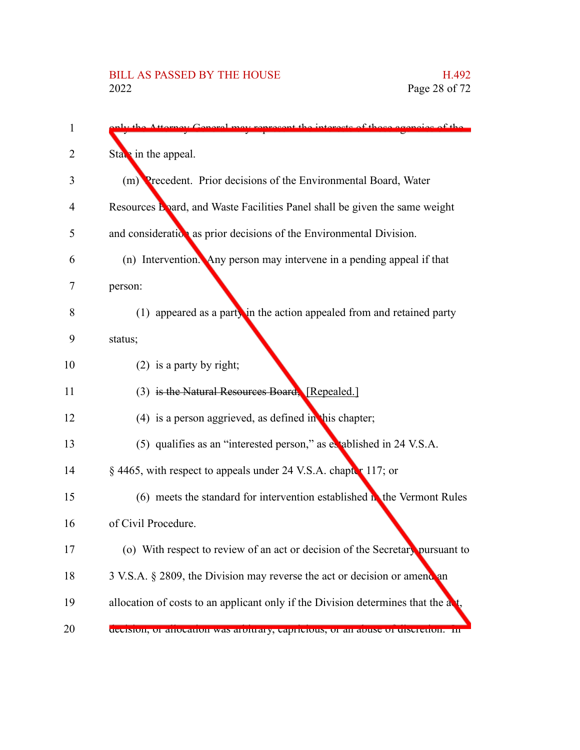| $\mathbf{1}$ | nterests of those consige of the<br>w ranracant th                                 |
|--------------|------------------------------------------------------------------------------------|
| 2            | Star in the appeal.                                                                |
| 3            | (m) Precedent. Prior decisions of the Environmental Board, Water                   |
| 4            | Resources Board, and Waste Facilities Panel shall be given the same weight         |
| 5            | and consideration as prior decisions of the Environmental Division.                |
| 6            | (n) Intervention. Any person may intervene in a pending appeal if that             |
| 7            | person:                                                                            |
| 8            | $(1)$ appeared as a party in the action appealed from and retained party           |
| 9            | status;                                                                            |
| 10           | $(2)$ is a party by right;                                                         |
| 11           | (3) is the Natural Resources Board, [Repealed.]                                    |
| 12           | $(4)$ is a person aggrieved, as defined in this chapter;                           |
| 13           | (5) qualifies as an "interested person," as extablished in 24 V.S.A.               |
| 14           | § 4465, with respect to appeals under 24 V.S.A. chapter 117; or                    |
| 15           | (6) meets the standard for intervention established $\mathbf{h}$ the Vermont Rules |
| 16           | of Civil Procedure.                                                                |
| 17           | (o) With respect to review of an act or decision of the Secretary pursuant to      |
| 18           | 3 V.S.A. § 2809, the Division may reverse the act or decision or amend an          |
| 19           | allocation of costs to an applicant only if the Division determines that the a     |
| 20           | decision, or anocation was arourary, capricious, or an abuse or discretion. In     |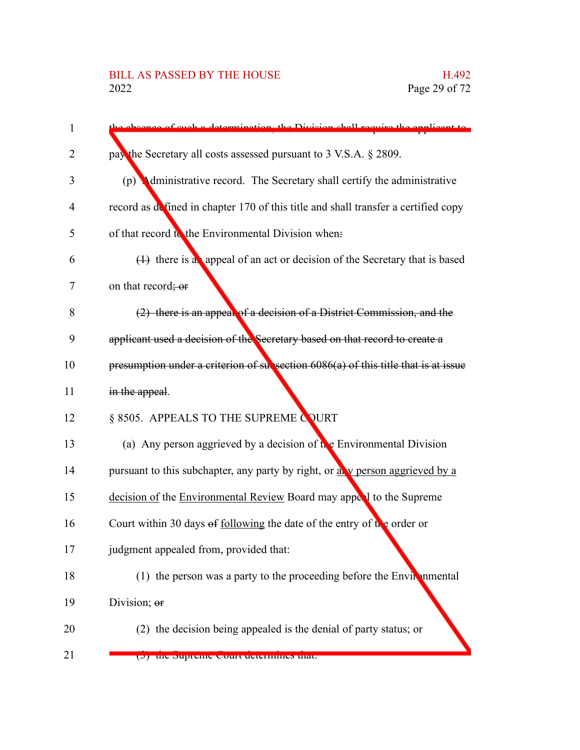| 1  | the absence of such a determination, the Division shall require the enalizent to     |
|----|--------------------------------------------------------------------------------------|
| 2  | pay the Secretary all costs assessed pursuant to 3 V.S.A. § 2809.                    |
|    |                                                                                      |
| 3  | (p) <b>Administrative record.</b> The Secretary shall certify the administrative     |
| 4  | record as defined in chapter 170 of this title and shall transfer a certified copy   |
| 5  | of that record to the Environmental Division when:                                   |
| 6  | $(1)$ there is a appeal of an act or decision of the Secretary that is based         |
| 7  | on that record; or                                                                   |
| 8  | (2) there is an appeal of a decision of a District Commission, and the               |
| 9  | applicant used a decision of the Secretary based on that record to create a          |
| 10 | presumption under a criterion of subsection $6086(a)$ of this title that is at issue |
| 11 | in the appeal.                                                                       |
| 12 | § 8505. APPEALS TO THE SUPREME COURT                                                 |
| 13 | (a) Any person aggrieved by a decision of $\mathbf{t}$ e Environmental Division      |
| 14 | pursuant to this subchapter, any party by right, or ally person aggrieved by a       |
| 15 | decision of the Environmental Review Board may appeal to the Supreme                 |
| 16 | Court within 30 days of <u>following</u> the date of the entry of the order or       |
| 17 | judgment appealed from, provided that:                                               |
| 18 | (1) the person was a party to the proceeding before the Environmental                |
| 19 | Division; or                                                                         |
| 20 | (2) the decision being appealed is the denial of party status; or                    |
| 21 | $\sigma$ ) and pupitume court actermines that.                                       |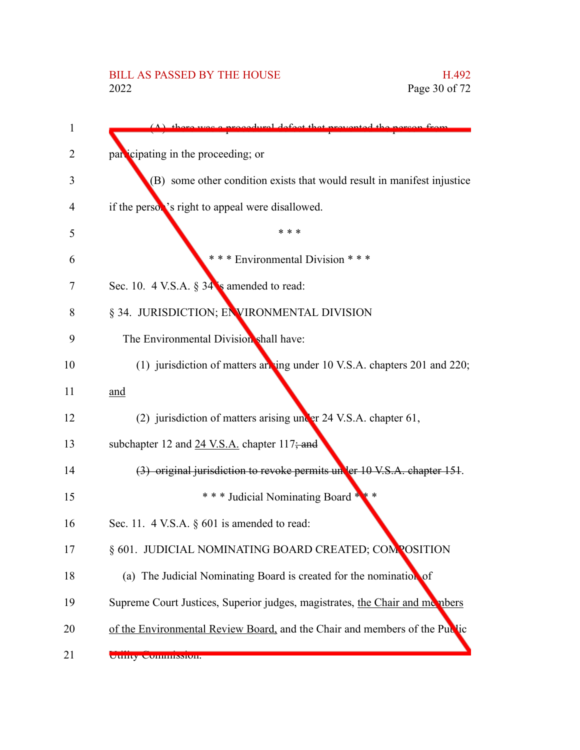| 1  | defect that prevented the nergon from                                       |
|----|-----------------------------------------------------------------------------|
| 2  | participating in the proceeding; or                                         |
| 3  | (B) some other condition exists that would result in manifest injustice     |
| 4  | if the person's right to appeal were disallowed.                            |
| 5  | * * *                                                                       |
| 6  | *** Environmental Division ***                                              |
| 7  | Sec. 10. 4 V.S.A. $\S 34$ is amended to read:                               |
| 8  | § 34. JURISDICTION; ENVIRONMENTAL DIVISION                                  |
| 9  | The Environmental Division shall have:                                      |
| 10 | (1) jurisdiction of matters ant ing under 10 V.S.A. chapters 201 and 220;   |
| 11 | and                                                                         |
| 12 | (2) jurisdiction of matters arising under 24 V.S.A. chapter 61,             |
| 13 | subchapter 12 and 24 V.S.A. chapter 117; and                                |
| 14 | (3) original jurisdiction to revoke permits under 10 V.S.A. chapter 151.    |
| 15 | *** Judicial Nominating Board ***                                           |
| 16 | Sec. 11. 4 V.S.A. $\S$ 601 is amended to read:                              |
| 17 | § 601. JUDICIAL NOMINATING BOARD CREATED; COMPOSITION                       |
| 18 | (a) The Judicial Nominating Board is created for the nomination of          |
| 19 | Supreme Court Justices, Superior judges, magistrates, the Chair and members |
| 20 | of the Environmental Review Board, and the Chair and members of the Public  |
| 21 | UTHLY COMMISSION.                                                           |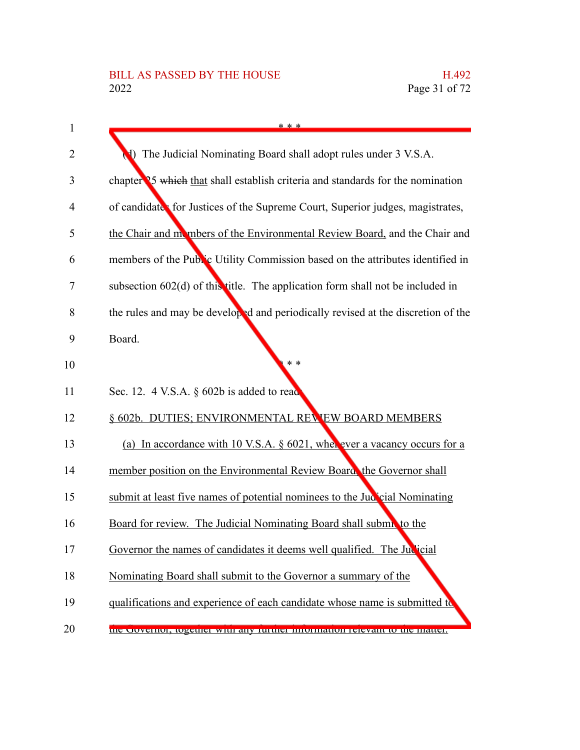| $\mathbf{1}$   | * * *                                                                            |
|----------------|----------------------------------------------------------------------------------|
| 2              | The Judicial Nominating Board shall adopt rules under 3 V.S.A.                   |
| 3              | chapter 25 which that shall establish criteria and standards for the nomination  |
| $\overline{4}$ | of candidates for Justices of the Supreme Court, Superior judges, magistrates,   |
| 5              | the Chair and mombers of the Environmental Review Board, and the Chair and       |
| 6              | members of the Public Utility Commission based on the attributes identified in   |
| 7              | subsection 602(d) of this title. The application form shall not be included in   |
| 8              | the rules and may be developed and periodically revised at the discretion of the |
| 9              | Board.                                                                           |
| 10             | * *                                                                              |
| 11             | Sec. 12. $4$ V.S.A. § 602b is added to read                                      |
| 12             | § 602b. DUTIES; ENVIRONMENTAL REVEW BOARD MEMBERS                                |
| 13             | (a) In accordance with 10 V.S.A. $\S$ 6021, when ever a vacancy occurs for a     |
| 14             | member position on the Environmental Review Board, the Governor shall            |
| 15             | submit at least five names of potential nominees to the Jud cial Nominating      |
| 16             | Board for review. The Judicial Nominating Board shall subma to the               |
| 17             | Governor the names of candidates it deems well qualified. The Judicial           |
| 18             | Nominating Board shall submit to the Governor a summary of the                   |
| 19             | qualifications and experience of each candidate whose name is submitted to       |
| 20             | the Covernor, together with any further information relevant to the matter.      |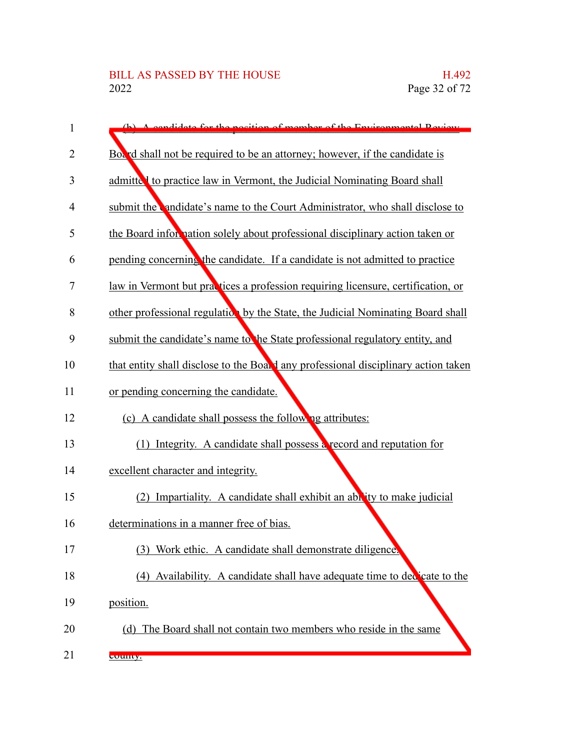| 1  | A condidate for the position of member of the Environmental Deview                 |
|----|------------------------------------------------------------------------------------|
| 2  | Board shall not be required to be an attorney; however, if the candidate is        |
| 3  | admitted to practice law in Vermont, the Judicial Nominating Board shall           |
| 4  | submit the andidate's name to the Court Administrator, who shall disclose to       |
| 5  | the Board information solely about professional disciplinary action taken or       |
| 6  | pending concerning the candidate. If a candidate is not admitted to practice       |
| 7  | law in Vermont but practices a profession requiring licensure, certification, or   |
| 8  | other professional regulation by the State, the Judicial Nominating Board shall    |
| 9  | submit the candidate's name to the State professional regulatory entity, and       |
| 10 | that entity shall disclose to the Board any professional disciplinary action taken |
| 11 | or pending concerning the candidate.                                               |
| 12 | (c) A candidate shall possess the following attributes:                            |
| 13 | (1) Integrity. A candidate shall possess a record and reputation for               |
| 14 | excellent character and integrity.                                                 |
| 15 | (2) Impartiality. A candidate shall exhibit an ability to make judicial            |
| 16 | determinations in a manner free of bias.                                           |
| 17 | (3)<br>Work ethic. A candidate shall demonstrate diligence.                        |
| 18 | (4) Availability. A candidate shall have adequate time to declicate to the         |
| 19 | position.                                                                          |
| 20 | (d) The Board shall not contain two members who reside in the same                 |
| 21 | county.                                                                            |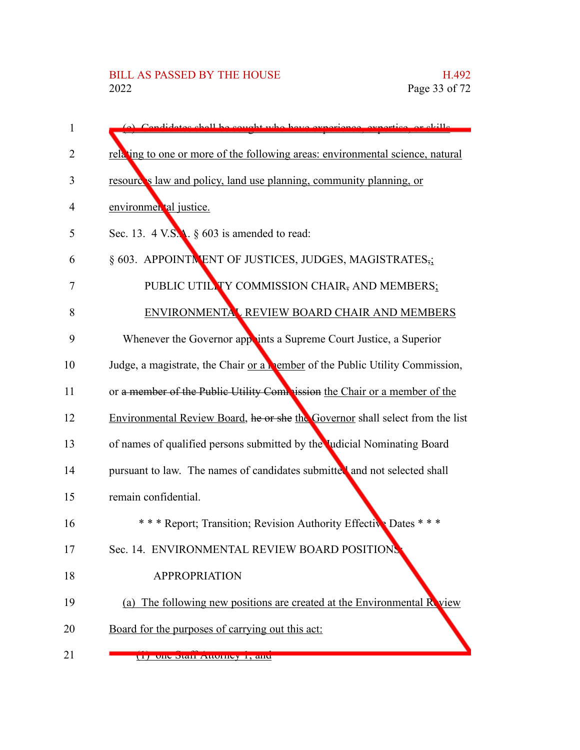| 1  | (a) Condidates shall be cought who have experience                                  |
|----|-------------------------------------------------------------------------------------|
| 2  | relating to one or more of the following areas: environmental science, natural      |
| 3  | resource's law and policy, land use planning, community planning, or                |
| 4  | environmental justice.                                                              |
| 5  | Sec. 13. 4 V.S.A. $\S$ 603 is amended to read:                                      |
| 6  | § 603. APPOINTNENT OF JUSTICES, JUDGES, MAGISTRATES,                                |
| 7  | PUBLIC UTILLTY COMMISSION CHAIR, AND MEMBERS;                                       |
| 8  | ENVIRONMENTAL REVIEW BOARD CHAIR AND MEMBERS                                        |
| 9  | Whenever the Governor appoints a Supreme Court Justice, a Superior                  |
| 10 | Judge, a magistrate, the Chair or a <b>Nember</b> of the Public Utility Commission, |
| 11 | or a member of the Public Utility Commission the Chair or a member of the           |
| 12 | Environmental Review Board, he or she the Governor shall select from the list       |
| 13 | of names of qualified persons submitted by the Judicial Nominating Board            |
| 14 | pursuant to law. The names of candidates submitted and not selected shall           |
| 15 | remain confidential.                                                                |
| 16 | * * * Report; Transition; Revision Authority Effective Dates * * *                  |
| 17 | Sec. 14. ENVIRONMENTAL REVIEW BOARD POSITIONS                                       |
| 18 | <b>APPROPRIATION</b>                                                                |
| 19 | (a) The following new positions are created at the Environmental R view             |
| 20 | Board for the purposes of carrying out this act:                                    |
| 21 | $(1)$ one dian Automey 1, and                                                       |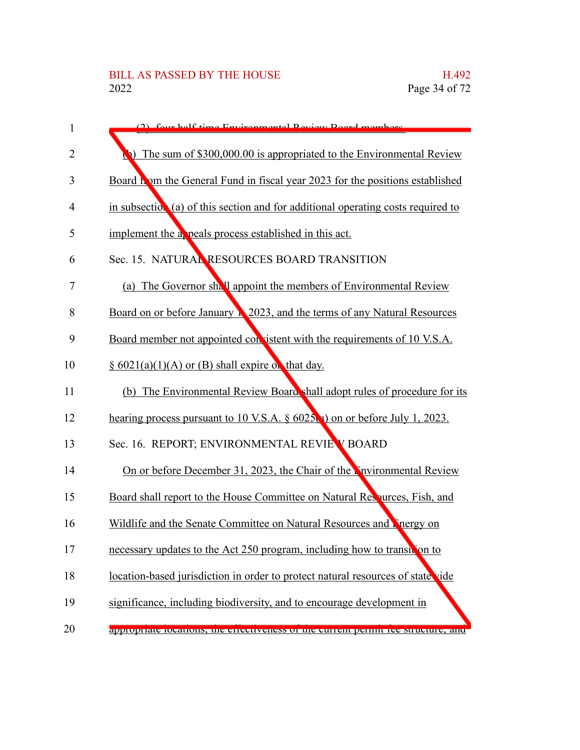| 1  | (2) four holf time Environmental Deview Reed members                              |
|----|-----------------------------------------------------------------------------------|
| 2  | The sum of \$300,000.00 is appropriated to the Environmental Review               |
| 3  | Board to both the General Fund in fiscal year 2023 for the positions established  |
| 4  | in subsection (a) of this section and for additional operating costs required to  |
| 5  | implement the a peals process established in this act.                            |
| 6  | Sec. 15. NATURAL RESOURCES BOARD TRANSITION                                       |
| 7  | (a) The Governor shall appoint the members of Environmental Review                |
| 8  | Board on or before January 1 2023, and the terms of any Natural Resources         |
| 9  | Board member not appointed consistent with the requirements of 10 V.S.A.          |
| 10 | $\S$ 6021(a)(1)(A) or (B) shall expire on that day.                               |
| 11 | (b) The Environmental Review Board shall adopt rules of procedure for its         |
| 12 | hearing process pursuant to 10 V.S.A. $\S$ 6025(a) on or before July 1, 2023.     |
| 13 | Sec. 16. REPORT; ENVIRONMENTAL REVIE V BOARD                                      |
| 14 | On or before December 31, 2023, the Chair of the Nuvironmental Review             |
| 15 | Board shall report to the House Committee on Natural Respurces, Fish, and         |
| 16 | Wildlife and the Senate Committee on Natural Resources and Pinergy on             |
| 17 | necessary updates to the Act 250 program, including how to transition to          |
| 18 | location-based jurisdiction in order to protect natural resources of state vide   |
| 19 | significance, including biodiversity, and to encourage development in             |
| 20 | appropriate rocations, the effectiveness of the current permit fee structure, and |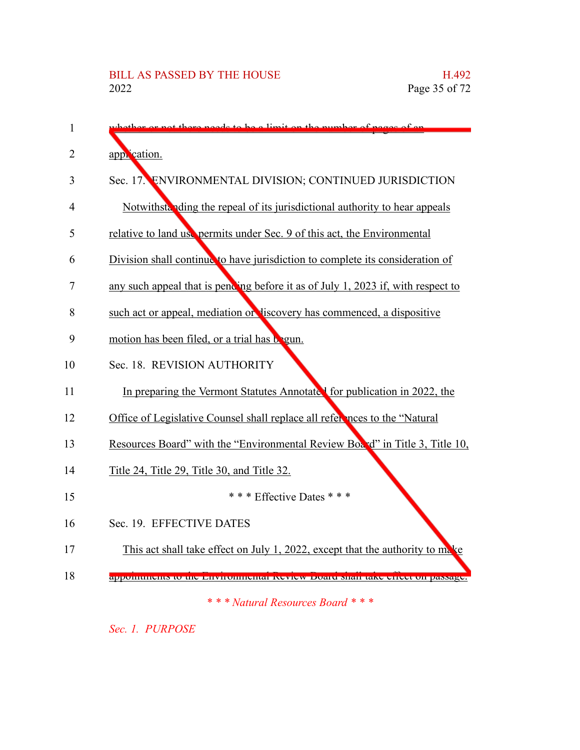| 1  | $\frac{1}{2}$ on the nu                                                          |
|----|----------------------------------------------------------------------------------|
| 2  | application.                                                                     |
| 3  | Sec. 17. ENVIRONMENTAL DIVISION; CONTINUED JURISDICTION                          |
| 4  | Notwithstanding the repeal of its jurisdictional authority to hear appeals       |
| 5  | relative to land use permits under Sec. 9 of this act, the Environmental         |
| 6  | Division shall continue to have jurisdiction to complete its consideration of    |
| 7  | any such appeal that is pending before it as of July 1, 2023 if, with respect to |
| 8  | such act or appeal, mediation or discovery has commenced, a dispositive          |
| 9  | motion has been filed, or a trial has begun.                                     |
| 10 | Sec. 18. REVISION AUTHORITY                                                      |
| 11 | In preparing the Vermont Statutes Annotate I for publication in 2022, the        |
| 12 | Office of Legislative Counsel shall replace all references to the "Natural       |
| 13 | Resources Board" with the "Environmental Review Board" in Title 3, Title 10,     |
| 14 | Title 24, Title 29, Title 30, and Title 32.                                      |
| 15 | * * * Effective Dates * * *                                                      |
| 16 | Sec. 19. EFFECTIVE DATES                                                         |
| 17 | This act shall take effect on July 1, 2022, except that the authority to make    |
| 18 | арронциюць ю ню внутопненат комем воаге ман таке спесс он рамаде.                |
|    | *** Natural Resources Board ***                                                  |

*Sec. 1. PURPOSE*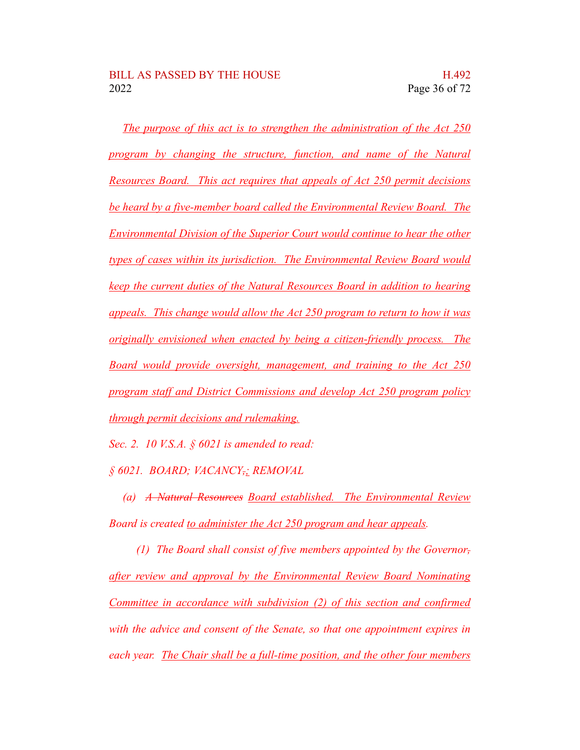*The purpose of this act is to strengthen the administration of the Act 250 program by changing the structure, function, and name of the Natural Resources Board. This act requires that appeals of Act 250 permit decisions be heard by a five-member board called the Environmental Review Board. The Environmental Division of the Superior Court would continue to hear the other types of cases within its jurisdiction. The Environmental Review Board would keep the current duties of the Natural Resources Board in addition to hearing appeals. This change would allow the Act 250 program to return to how it was originally envisioned when enacted by being a citizen-friendly process. The Board would provide oversight, management, and training to the Act 250 program staff and District Commissions and develop Act 250 program policy through permit decisions and rulemaking.*

*Sec. 2. 10 V.S.A. § 6021 is amended to read:*

*§ 6021. BOARD; VACANCY,; REMOVAL*

*(a) A Natural Resources Board established. The Environmental Review Board is created to administer the Act 250 program and hear appeals.*

*(1) The Board shall consist of five members appointed by the Governor, after review and approval by the Environmental Review Board Nominating Committee in accordance with subdivision (2) of this section and confirmed with the advice and consent of the Senate, so that one appointment expires in each year. The Chair shall be a full-time position, and the other four members*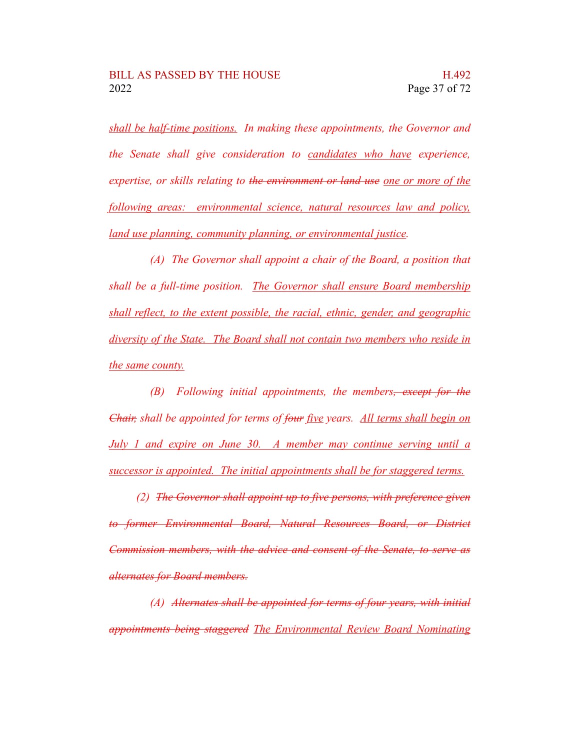*shall be half-time positions. In making these appointments, the Governor and the Senate shall give consideration to candidates who have experience, expertise, or skills relating to the environment or land use one or more of the following areas: environmental science, natural resources law and policy, land use planning, community planning, or environmental justice.*

*(A) The Governor shall appoint a chair of the Board, a position that shall be a full-time position. The Governor shall ensure Board membership shall reflect, to the extent possible, the racial, ethnic, gender, and geographic diversity of the State. The Board shall not contain two members who reside in the same county.*

*(B) Following initial appointments, the members, except for the Chair, shall be appointed for terms of four five years. All terms shall begin on July 1 and expire on June 30. A member may continue serving until a successor is appointed. The initial appointments shall be for staggered terms.*

*(2) The Governor shall appoint up to five persons, with preference given to former Environmental Board, Natural Resources Board, or District Commission members, with the advice and consent of the Senate, to serve as alternates for Board members.*

*(A) Alternates shall be appointed for terms of four years, with initial appointments being staggered The Environmental Review Board Nominating*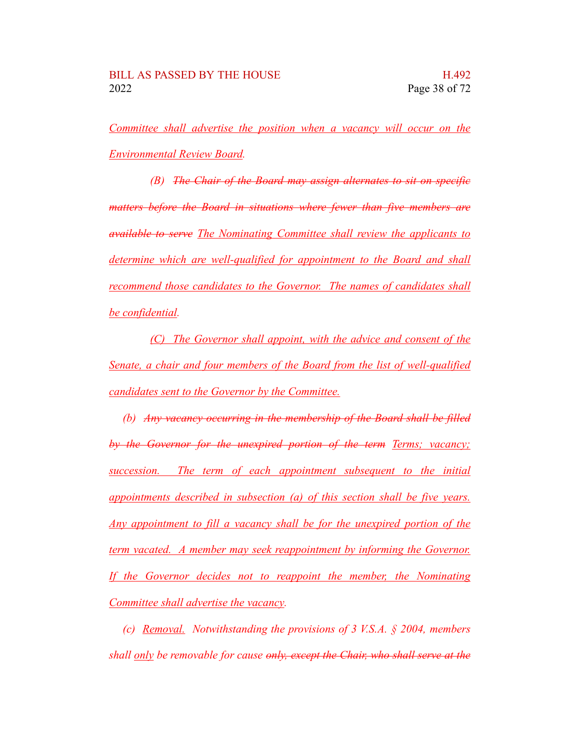*Committee shall advertise the position when a vacancy will occur on the Environmental Review Board.*

*(B) The Chair of the Board may assign alternates to sit on specific matters before the Board in situations where fewer than five members are available to serve The Nominating Committee shall review the applicants to determine which are well-qualified for appointment to the Board and shall recommend those candidates to the Governor. The names of candidates shall be confidential.*

*(C) The Governor shall appoint, with the advice and consent of the Senate, a chair and four members of the Board from the list of well-qualified candidates sent to the Governor by the Committee.*

*(b) Any vacancy occurring in the membership of the Board shall be filled by the Governor for the unexpired portion of the term Terms; vacancy; succession. The term of each appointment subsequent to the initial appointments described in subsection (a) of this section shall be five years. Any appointment to fill a vacancy shall be for the unexpired portion of the term vacated. A member may seek reappointment by informing the Governor. If the Governor decides not to reappoint the member, the Nominating Committee shall advertise the vacancy.*

*(c) Removal. Notwithstanding the provisions of 3 V.S.A. § 2004, members shall only be removable for cause only, except the Chair, who shall serve at the*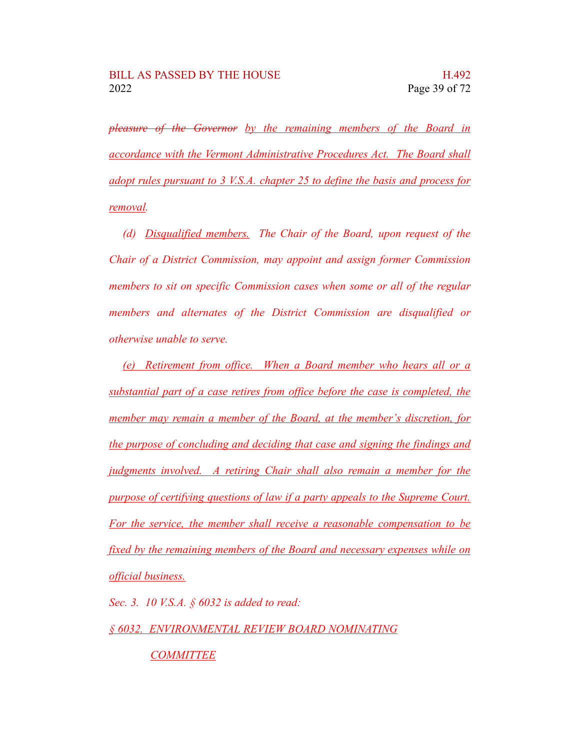*pleasure of the Governor by the remaining members of the Board in accordance with the Vermont Administrative Procedures Act. The Board shall adopt rules pursuant to 3 V.S.A. chapter 25 to define the basis and process for removal.*

*(d) Disqualified members. The Chair of the Board, upon request of the Chair of a District Commission, may appoint and assign former Commission members to sit on specific Commission cases when some or all of the regular members and alternates of the District Commission are disqualified or otherwise unable to serve.*

*(e) Retirement from office. When a Board member who hears all or a substantial part of a case retires from office before the case is completed, the member may remain a member of the Board, at the member's discretion, for the purpose of concluding and deciding that case and signing the findings and judgments involved. A retiring Chair shall also remain a member for the purpose of certifying questions of law if a party appeals to the Supreme Court. For the service, the member shall receive a reasonable compensation to be fixed by the remaining members of the Board and necessary expenses while on official business.*

*Sec. 3. 10 V.S.A. § 6032 is added to read:*

*§ 6032. ENVIRONMENTAL REVIEW BOARD NOMINATING*

*COMMITTEE*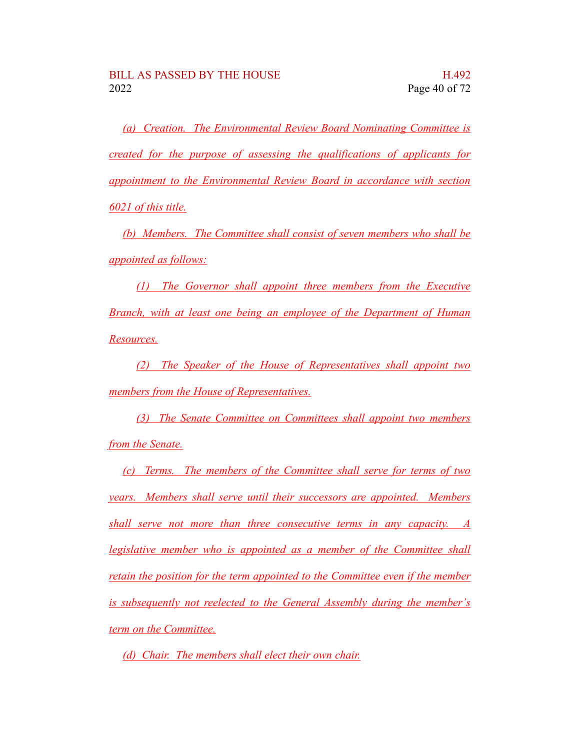*(a) Creation. The Environmental Review Board Nominating Committee is created for the purpose of assessing the qualifications of applicants for appointment to the Environmental Review Board in accordance with section 6021 of this title.*

*(b) Members. The Committee shall consist of seven members who shall be appointed as follows:*

*(1) The Governor shall appoint three members from the Executive Branch, with at least one being an employee of the Department of Human Resources.*

*(2) The Speaker of the House of Representatives shall appoint two members from the House of Representatives.*

*(3) The Senate Committee on Committees shall appoint two members from the Senate.*

*(c) Terms. The members of the Committee shall serve for terms of two years. Members shall serve until their successors are appointed. Members shall serve not more than three consecutive terms in any capacity. A legislative member who is appointed as a member of the Committee shall retain the position for the term appointed to the Committee even if the member is subsequently not reelected to the General Assembly during the member's term on the Committee.*

*(d) Chair. The members shall elect their own chair.*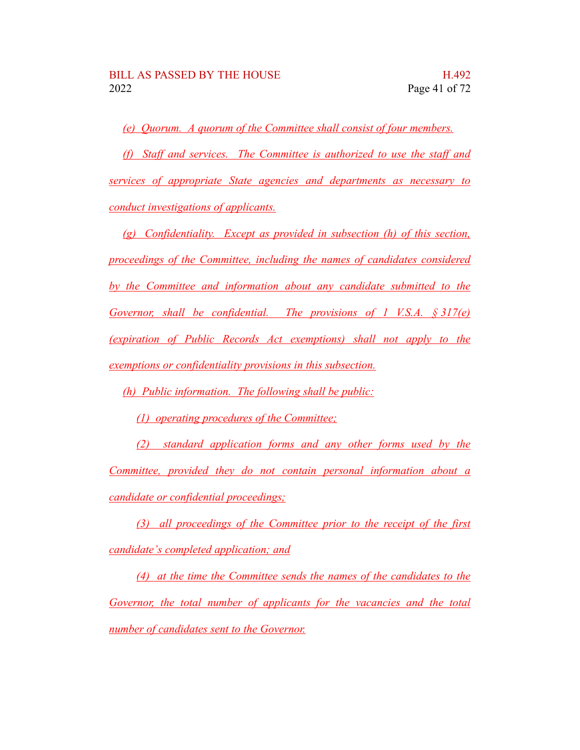*(e) Quorum. A quorum of the Committee shall consist of four members.*

*(f) Staff and services. The Committee is authorized to use the staff and services of appropriate State agencies and departments as necessary to conduct investigations of applicants.*

*(g) Confidentiality. Except as provided in subsection (h) of this section, proceedings of the Committee, including the names of candidates considered by the Committee and information about any candidate submitted to the Governor, shall be confidential. The provisions of 1 V.S.A. § 317(e) (expiration of Public Records Act exemptions) shall not apply to the exemptions or confidentiality provisions in this subsection.*

*(h) Public information. The following shall be public:*

*(1) operating procedures of the Committee;*

*(2) standard application forms and any other forms used by the Committee, provided they do not contain personal information about a candidate or confidential proceedings;*

*(3) all proceedings of the Committee prior to the receipt of the first candidate's completed application; and*

*(4) at the time the Committee sends the names of the candidates to the Governor, the total number of applicants for the vacancies and the total number of candidates sent to the Governor.*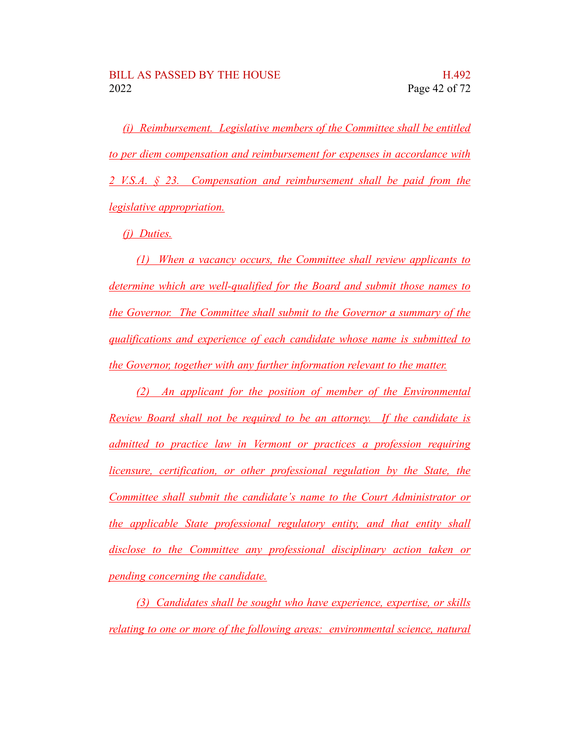*(i) Reimbursement. Legislative members of the Committee shall be entitled to per diem compensation and reimbursement for expenses in accordance with 2 V.S.A. § 23. Compensation and reimbursement shall be paid from the legislative appropriation.*

*(j) Duties.*

*(1) When a vacancy occurs, the Committee shall review applicants to determine which are well-qualified for the Board and submit those names to the Governor. The Committee shall submit to the Governor a summary of the qualifications and experience of each candidate whose name is submitted to the Governor, together with any further information relevant to the matter.*

*(2) An applicant for the position of member of the Environmental Review Board shall not be required to be an attorney. If the candidate is admitted to practice law in Vermont or practices a profession requiring licensure, certification, or other professional regulation by the State, the Committee shall submit the candidate's name to the Court Administrator or the applicable State professional regulatory entity, and that entity shall disclose to the Committee any professional disciplinary action taken or pending concerning the candidate.*

*(3) Candidates shall be sought who have experience, expertise, or skills relating to one or more of the following areas: environmental science, natural*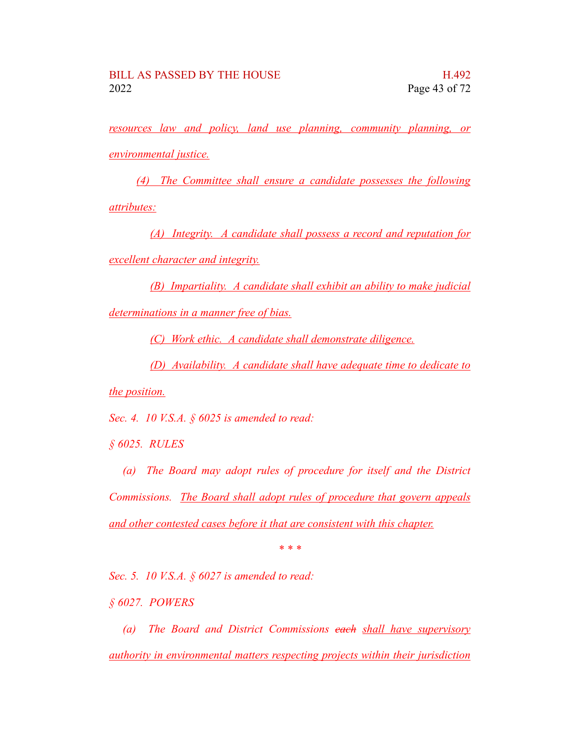*resources law and policy, land use planning, community planning, or environmental justice.*

*(4) The Committee shall ensure a candidate possesses the following attributes:*

*(A) Integrity. A candidate shall possess a record and reputation for excellent character and integrity.*

*(B) Impartiality. A candidate shall exhibit an ability to make judicial determinations in a manner free of bias.*

*(C) Work ethic. A candidate shall demonstrate diligence.*

*(D) Availability. A candidate shall have adequate time to dedicate to*

*the position.*

*Sec. 4. 10 V.S.A. § 6025 is amended to read:*

*§ 6025. RULES*

*(a) The Board may adopt rules of procedure for itself and the District Commissions. The Board shall adopt rules of procedure that govern appeals and other contested cases before it that are consistent with this chapter.*

*\* \* \**

*Sec. 5. 10 V.S.A. § 6027 is amended to read:*

*§ 6027. POWERS*

*(a) The Board and District Commissions each shall have supervisory authority in environmental matters respecting projects within their jurisdiction*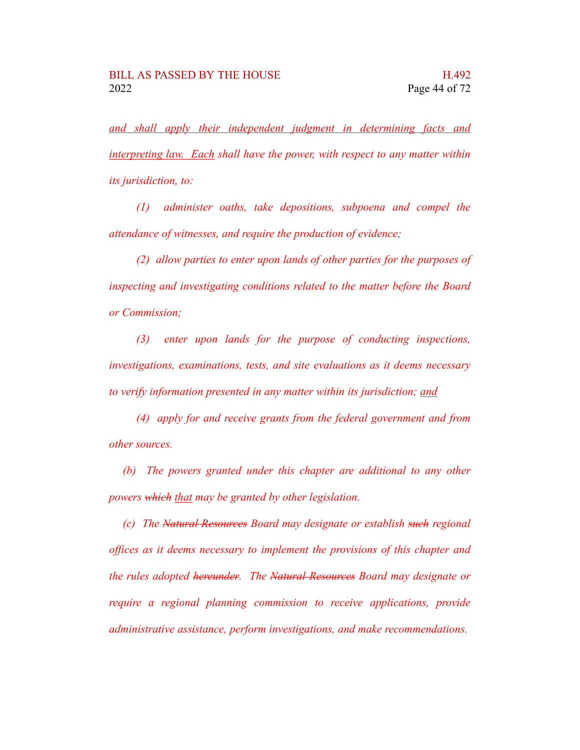*and shall apply their independent judgment in determining facts and interpreting law. Each shall have the power, with respect to any matter within its jurisdiction, to:*

*(1) administer oaths, take depositions, subpoena and compel the attendance of witnesses, and require the production of evidence;*

*(2) allow parties to enter upon lands of other parties for the purposes of inspecting and investigating conditions related to the matter before the Board or Commission;*

*(3) enter upon lands for the purpose of conducting inspections, investigations, examinations, tests, and site evaluations as it deems necessary to verify information presented in any matter within its jurisdiction; and*

*(4) apply for and receive grants from the federal government and from other sources.*

*(b) The powers granted under this chapter are additional to any other powers which that may be granted by other legislation.*

*(c) The Natural Resources Board may designate or establish such regional offices as it deems necessary to implement the provisions of this chapter and the rules adopted hereunder. The Natural Resources Board may designate or require a regional planning commission to receive applications, provide administrative assistance, perform investigations, and make recommendations.*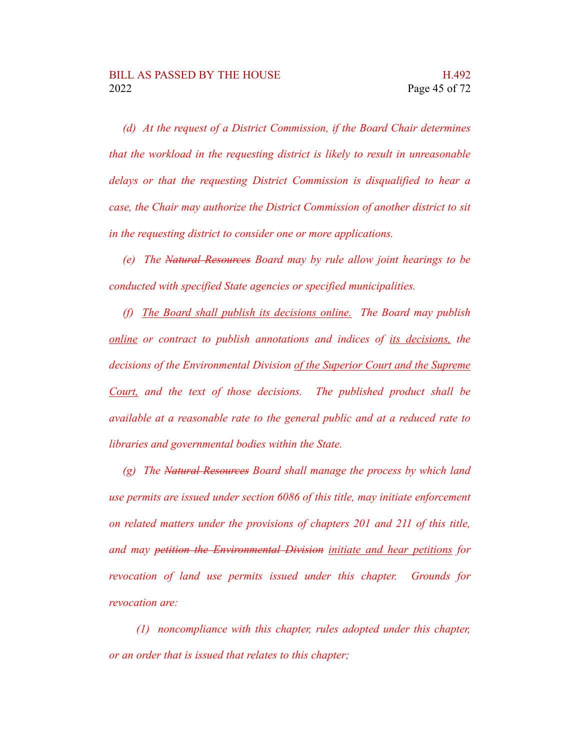*(d) At the request of a District Commission, if the Board Chair determines that the workload in the requesting district is likely to result in unreasonable delays or that the requesting District Commission is disqualified to hear a case, the Chair may authorize the District Commission of another district to sit in the requesting district to consider one or more applications.*

*(e) The Natural Resources Board may by rule allow joint hearings to be conducted with specified State agencies or specified municipalities.*

*(f) The Board shall publish its decisions online. The Board may publish online or contract to publish annotations and indices of its decisions, the decisions of the Environmental Division of the Superior Court and the Supreme Court, and the text of those decisions. The published product shall be available at a reasonable rate to the general public and at a reduced rate to libraries and governmental bodies within the State.*

*(g) The Natural Resources Board shall manage the process by which land use permits are issued under section 6086 of this title, may initiate enforcement on related matters under the provisions of chapters 201 and 211 of this title, and may petition the Environmental Division initiate and hear petitions for revocation of land use permits issued under this chapter. Grounds for revocation are:*

*(1) noncompliance with this chapter, rules adopted under this chapter, or an order that is issued that relates to this chapter;*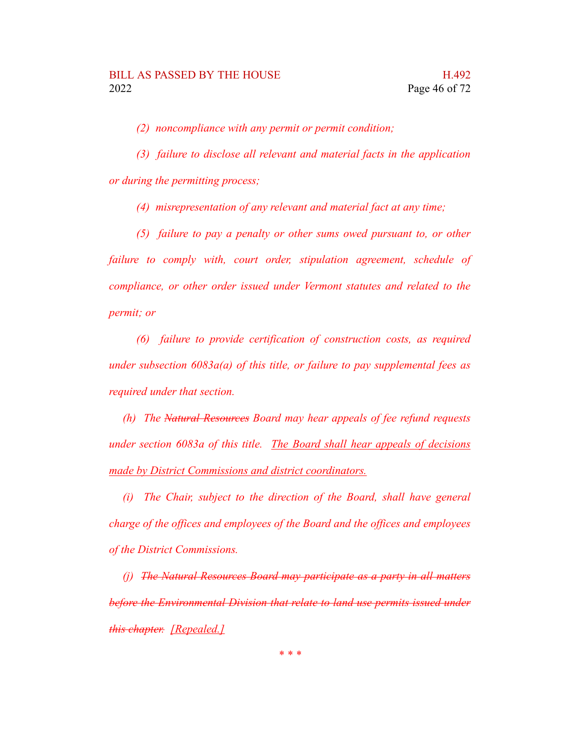*(2) noncompliance with any permit or permit condition;*

*(3) failure to disclose all relevant and material facts in the application or during the permitting process;*

*(4) misrepresentation of any relevant and material fact at any time;*

*(5) failure to pay a penalty or other sums owed pursuant to, or other failure to comply with, court order, stipulation agreement, schedule of compliance, or other order issued under Vermont statutes and related to the permit; or*

*(6) failure to provide certification of construction costs, as required under subsection 6083a(a) of this title, or failure to pay supplemental fees as required under that section.*

*(h) The Natural Resources Board may hear appeals of fee refund requests under section 6083a of this title. The Board shall hear appeals of decisions made by District Commissions and district coordinators.*

*(i) The Chair, subject to the direction of the Board, shall have general charge of the offices and employees of the Board and the offices and employees of the District Commissions.*

*(j) The Natural Resources Board may participate as a party in all matters before the Environmental Division that relate to land use permits issued under this chapter. [Repealed.]*

*\* \* \**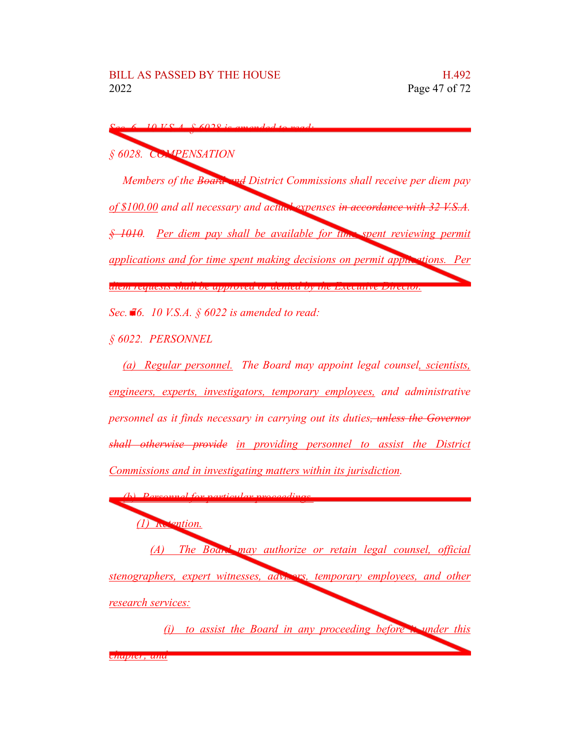*Sec. 6. 10 V.S.A. § 6028 is amended to read:*

*§ 6028. COMPENSATION*

*Members of the Board and District Commissions shall receive per diem pay of \$100.00 and all necessary and actual expenses in accordance with 32 V.S.A. § 1010. Per diem pay shall be available for time spent reviewing permit applications and for time spent making decisions on permit applications. Per diem requests shall be approved or denied by the Executive Director.*

*Sec. 76. 10 V.S.A. § 6022 is amended to read:*

*§ 6022. PERSONNEL*

*(a) Regular personnel. The Board may appoint legal counsel, scientists, engineers, experts, investigators, temporary employees, and administrative personnel as it finds necessary in carrying out its duties, unless the Governor shall otherwise provide in providing personnel to assist the District Commissions and in investigating matters within its jurisdiction.*

*(b) Personnel for particular proceedings. (1) Retention. (A) The Board may authorize or retain legal counsel, official stenographers, expert witnesses, advisors, temporary employees, and other research services: (i) to assist the Board in any proceeding before it under this*

*chapter; and*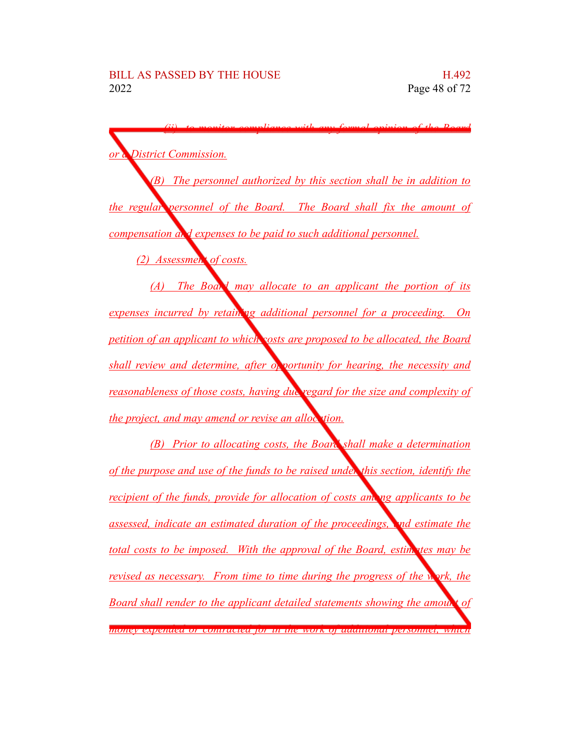*(ii) to monitor compliance with any formal opinion of the Board District Commission. (B) The personnel authorized by this section shall be in addition to the regular personnel of the Board. The Board shall fix the amount of compensation and expenses to be paid to such additional personnel. (2) Assessment of costs. (A) The Board may allocate to an applicant the portion of its expenses incurred by retaining additional personnel for a proceeding. On petition of an applicant to which costs are proposed to be allocated, the Board shall review and determine, after*  $o_p$  *portunity for hearing, the necessity and reasonableness of those costs, having due regard for the size and complexity of the project, and may amend or revise an allocation. (B) Prior to allocating costs, the Board shall make a determination of the purpose and use of the funds to be raised under this section, identify the recipient of the funds, provide for allocation of costs among applicants to be assessed, indicate an estimated duration of the proceedings, and estimate the total costs to be imposed. With the approval of the Board, estimates may be revised as necessary. From time to time during the progress of the work, the Board shall render to the applicant detailed statements showing the amount of money expended or contracted for in the work of additional personnel, which*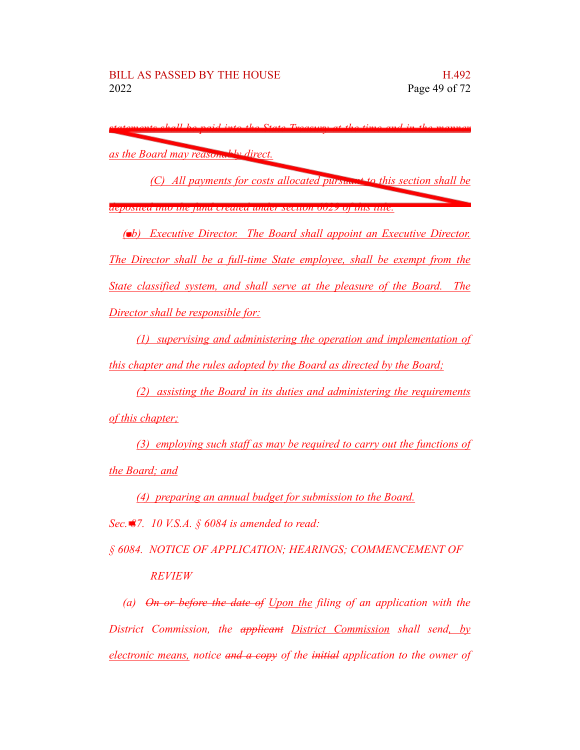*statements shall be paid into the State Treasury at the time and in the manner as the Board may reasonably direct.*

*(C) All payments for costs allocated pursuant to this section shall be*

*deposited into the fund created under section 6029 of this title.*

*(cb) Executive Director. The Board shall appoint an Executive Director. The Director shall be a full-time State employee, shall be exempt from the State classified system, and shall serve at the pleasure of the Board. The Director shall be responsible for:*

*(1) supervising and administering the operation and implementation of this chapter and the rules adopted by the Board as directed by the Board;*

*(2) assisting the Board in its duties and administering the requirements of this chapter;*

*(3) employing such staff as may be required to carry out the functions of the Board; and*

*(4) preparing an annual budget for submission to the Board.*

*Sec. 87. 10 V.S.A. § 6084 is amended to read:*

*§ 6084. NOTICE OF APPLICATION; HEARINGS; COMMENCEMENT OF REVIEW*

*(a) On or before the date of Upon the filing of an application with the District Commission, the applicant District Commission shall send, by electronic means, notice and a copy of the initial application to the owner of*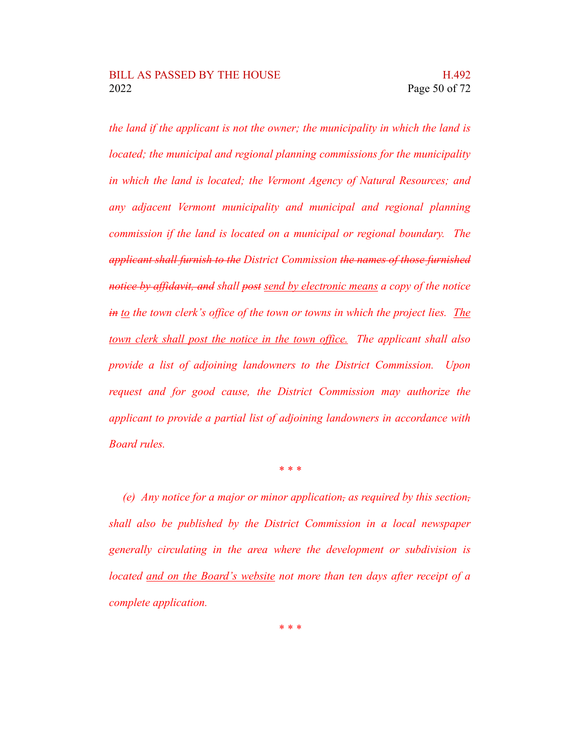*the land if the applicant is not the owner; the municipality in which the land is located; the municipal and regional planning commissions for the municipality in which the land is located; the Vermont Agency of Natural Resources; and any adjacent Vermont municipality and municipal and regional planning commission if the land is located on a municipal or regional boundary. The applicant shall furnish to the District Commission the names of those furnished notice by affidavit, and shall post send by electronic means a copy of the notice in to the town clerk's office of the town or towns in which the project lies. The town clerk shall post the notice in the town office. The applicant shall also provide a list of adjoining landowners to the District Commission. Upon request and for good cause, the District Commission may authorize the applicant to provide a partial list of adjoining landowners in accordance with Board rules.*

*\* \* \**

*(e) Any notice for a major or minor application, as required by this section, shall also be published by the District Commission in a local newspaper generally circulating in the area where the development or subdivision is located and on the Board's website not more than ten days after receipt of a complete application.*

*\* \* \**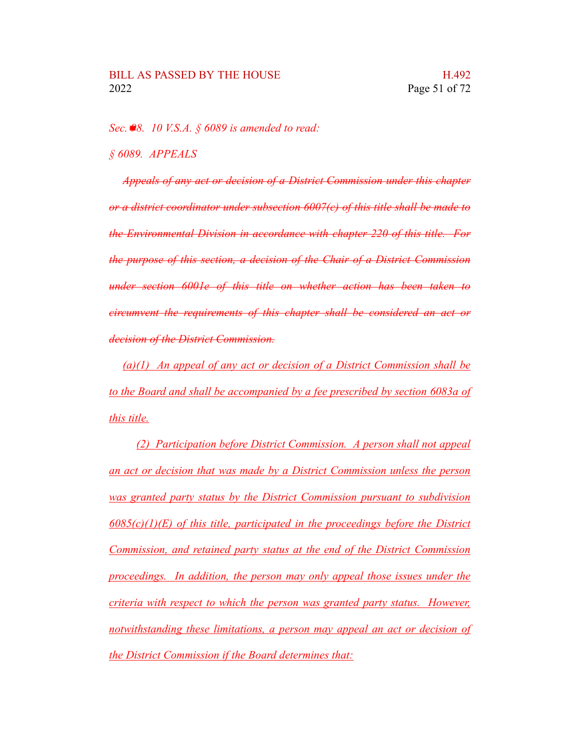*Sec. 98. 10 V.S.A. § 6089 is amended to read:*

*§ 6089. APPEALS*

*Appeals of any act or decision of a District Commission under this chapter or a district coordinator under subsection 6007(c) of this title shall be made to the Environmental Division in accordance with chapter 220 of this title. For the purpose of this section, a decision of the Chair of a District Commission under section 6001e of this title on whether action has been taken to circumvent the requirements of this chapter shall be considered an act or decision of the District Commission.*

*(a)(1) An appeal of any act or decision of a District Commission shall be to the Board and shall be accompanied by a fee prescribed by section 6083a of this title.*

*(2) Participation before District Commission. A person shall not appeal an act or decision that was made by a District Commission unless the person was granted party status by the District Commission pursuant to subdivision 6085(c)(1)(E) of this title, participated in the proceedings before the District Commission, and retained party status at the end of the District Commission proceedings. In addition, the person may only appeal those issues under the criteria with respect to which the person was granted party status. However, notwithstanding these limitations, a person may appeal an act or decision of the District Commission if the Board determines that:*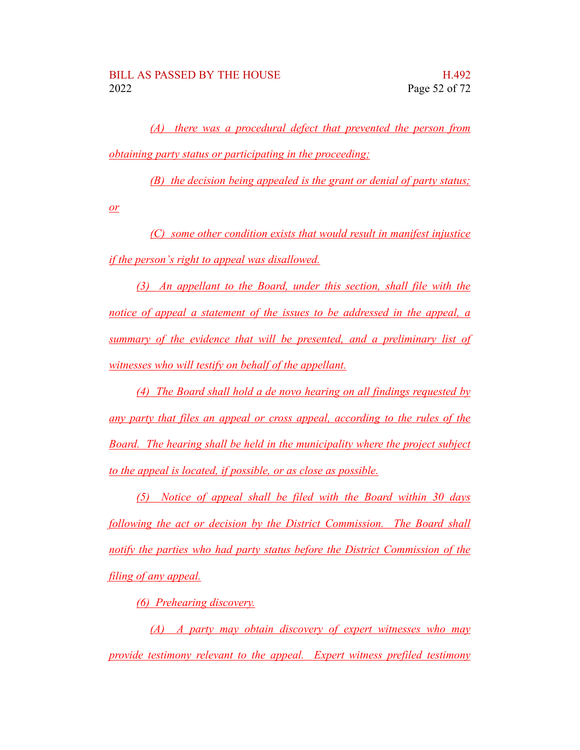*(A) there was a procedural defect that prevented the person from obtaining party status or participating in the proceeding;*

*(B) the decision being appealed is the grant or denial of party status;*

*or*

*(C) some other condition exists that would result in manifest injustice if the person's right to appeal was disallowed.*

*(3) An appellant to the Board, under this section, shall file with the notice of appeal a statement of the issues to be addressed in the appeal, a summary of the evidence that will be presented, and a preliminary list of witnesses who will testify on behalf of the appellant.*

*(4) The Board shall hold a de novo hearing on all findings requested by any party that files an appeal or cross appeal, according to the rules of the Board. The hearing shall be held in the municipality where the project subject to the appeal is located, if possible, or as close as possible.*

*(5) Notice of appeal shall be filed with the Board within 30 days following the act or decision by the District Commission. The Board shall notify the parties who had party status before the District Commission of the filing of any appeal.*

*(6) Prehearing discovery.*

*(A) A party may obtain discovery of expert witnesses who may provide testimony relevant to the appeal. Expert witness prefiled testimony*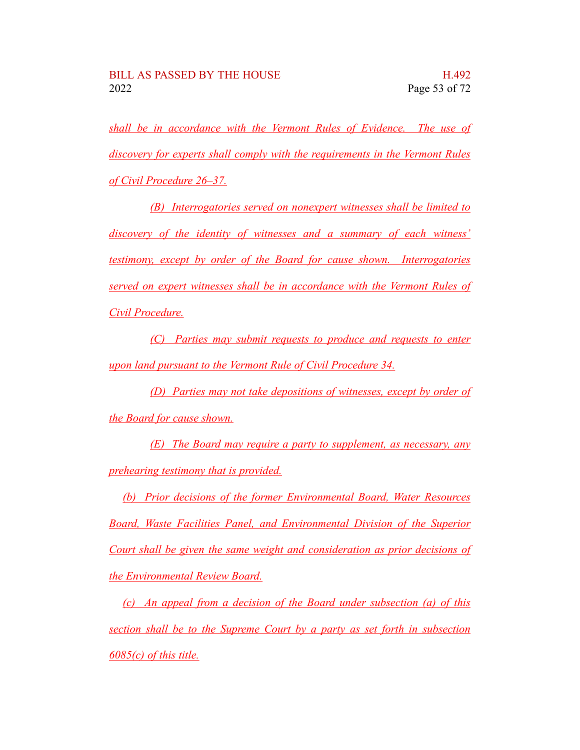*shall be in accordance with the Vermont Rules of Evidence. The use of discovery for experts shall comply with the requirements in the Vermont Rules of Civil Procedure 26–37.*

*(B) Interrogatories served on nonexpert witnesses shall be limited to discovery of the identity of witnesses and a summary of each witness' testimony, except by order of the Board for cause shown. Interrogatories served on expert witnesses shall be in accordance with the Vermont Rules of Civil Procedure.*

*(C) Parties may submit requests to produce and requests to enter upon land pursuant to the Vermont Rule of Civil Procedure 34.*

*(D) Parties may not take depositions of witnesses, except by order of the Board for cause shown.*

*(E) The Board may require a party to supplement, as necessary, any prehearing testimony that is provided.*

*(b) Prior decisions of the former Environmental Board, Water Resources Board, Waste Facilities Panel, and Environmental Division of the Superior Court shall be given the same weight and consideration as prior decisions of the Environmental Review Board.*

*(c) An appeal from a decision of the Board under subsection (a) of this section shall be to the Supreme Court by a party as set forth in subsection 6085(c) of this title.*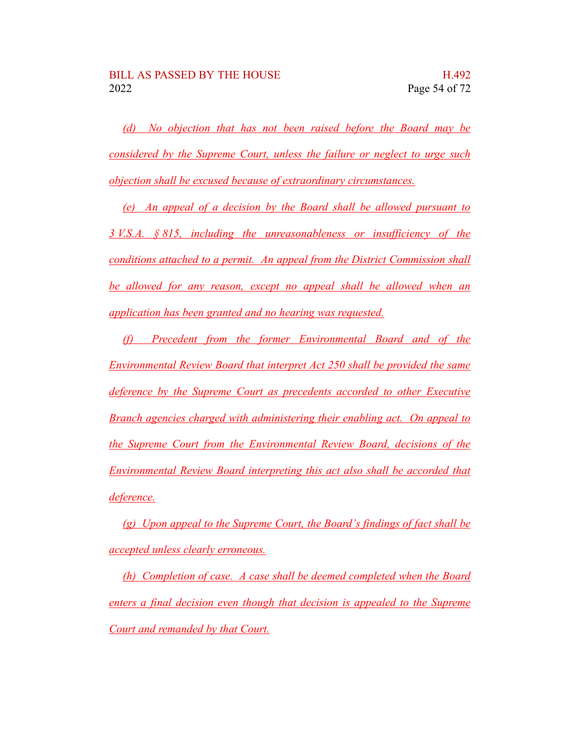*(d) No objection that has not been raised before the Board may be considered by the Supreme Court, unless the failure or neglect to urge such objection shall be excused because of extraordinary circumstances.*

*(e) An appeal of a decision by the Board shall be allowed pursuant to 3 V.S.A. § 815, including the unreasonableness or insufficiency of the conditions attached to a permit. An appeal from the District Commission shall be allowed for any reason, except no appeal shall be allowed when an application has been granted and no hearing was requested.*

*(f) Precedent from the former Environmental Board and of the Environmental Review Board that interpret Act 250 shall be provided the same deference by the Supreme Court as precedents accorded to other Executive Branch agencies charged with administering their enabling act. On appeal to the Supreme Court from the Environmental Review Board, decisions of the Environmental Review Board interpreting this act also shall be accorded that deference.*

*(g) Upon appeal to the Supreme Court, the Board's findings of fact shall be accepted unless clearly erroneous.*

*(h) Completion of case. A case shall be deemed completed when the Board enters a final decision even though that decision is appealed to the Supreme Court and remanded by that Court.*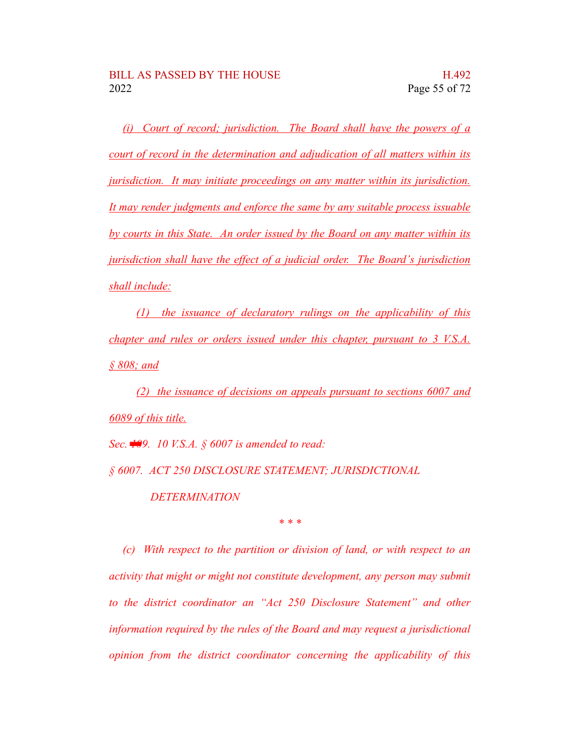*(i) Court of record; jurisdiction. The Board shall have the powers of a court of record in the determination and adjudication of all matters within its jurisdiction. It may initiate proceedings on any matter within its jurisdiction. It may render judgments and enforce the same by any suitable process issuable by courts in this State. An order issued by the Board on any matter within its jurisdiction shall have the effect of a judicial order. The Board's jurisdiction shall include:*

*(1) the issuance of declaratory rulings on the applicability of this chapter and rules or orders issued under this chapter, pursuant to 3 V.S.A. § 808; and*

*(2) the issuance of decisions on appeals pursuant to sections 6007 and 6089 of this title.*

*Sec. 109. 10 V.S.A. § 6007 is amended to read:*

*§ 6007. ACT 250 DISCLOSURE STATEMENT; JURISDICTIONAL*

*DETERMINATION*

*\* \* \**

*(c) With respect to the partition or division of land, or with respect to an activity that might or might not constitute development, any person may submit to the district coordinator an "Act 250 Disclosure Statement" and other information required by the rules of the Board and may request a jurisdictional opinion from the district coordinator concerning the applicability of this*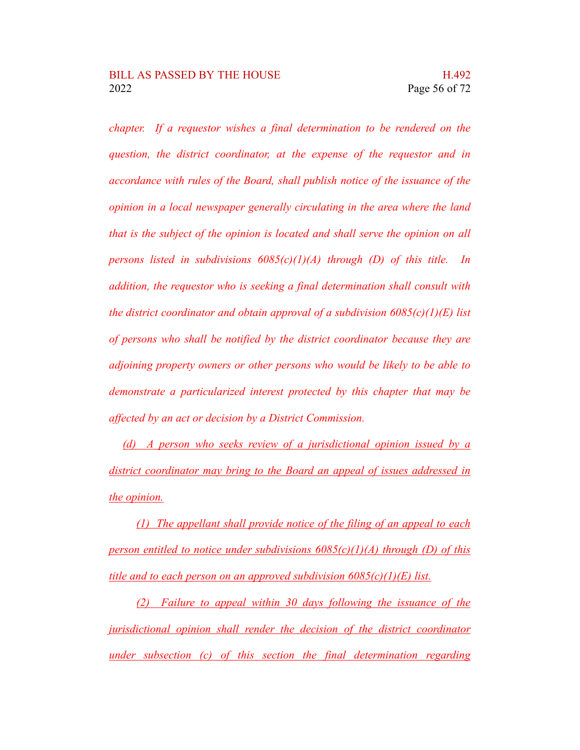*chapter. If a requestor wishes a final determination to be rendered on the question, the district coordinator, at the expense of the requestor and in accordance with rules of the Board, shall publish notice of the issuance of the opinion in a local newspaper generally circulating in the area where the land that is the subject of the opinion is located and shall serve the opinion on all persons listed in subdivisions 6085(c)(1)(A) through (D) of this title. In addition, the requestor who is seeking a final determination shall consult with the district coordinator and obtain approval of a subdivision 6085(c)(1)(E) list of persons who shall be notified by the district coordinator because they are adjoining property owners or other persons who would be likely to be able to demonstrate a particularized interest protected by this chapter that may be affected by an act or decision by a District Commission.*

*(d) A person who seeks review of a jurisdictional opinion issued by a district coordinator may bring to the Board an appeal of issues addressed in the opinion.*

*(1) The appellant shall provide notice of the filing of an appeal to each person entitled to notice under subdivisions 6085(c)(1)(A) through (D) of this title and to each person on an approved subdivision 6085(c)(1)(E) list.*

*(2) Failure to appeal within 30 days following the issuance of the jurisdictional opinion shall render the decision of the district coordinator under subsection (c) of this section the final determination regarding*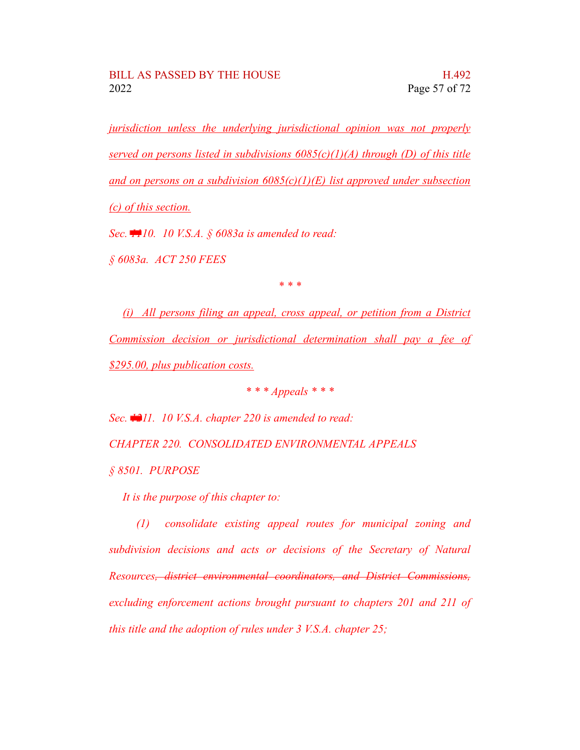*jurisdiction unless the underlying jurisdictional opinion was not properly served on persons listed in subdivisions 6085(c)(1)(A) through (D) of this title and on persons on a subdivision 6085(c)(1)(E) list approved under subsection (c) of this section.*

*Sec. 1110. 10 V.S.A. § 6083a is amended to read:*

*§ 6083a. ACT 250 FEES*

*\* \* \**

*(i) All persons filing an appeal, cross appeal, or petition from a District Commission decision or jurisdictional determination shall pay a fee of \$295.00, plus publication costs.*

*\* \* \* Appeals \* \* \**

*Sec. 1211. 10 V.S.A. chapter 220 is amended to read:*

*CHAPTER 220. CONSOLIDATED ENVIRONMENTAL APPEALS*

*§ 8501. PURPOSE*

*It is the purpose of this chapter to:*

*(1) consolidate existing appeal routes for municipal zoning and subdivision decisions and acts or decisions of the Secretary of Natural Resources, district environmental coordinators, and District Commissions, excluding enforcement actions brought pursuant to chapters 201 and 211 of this title and the adoption of rules under 3 V.S.A. chapter 25;*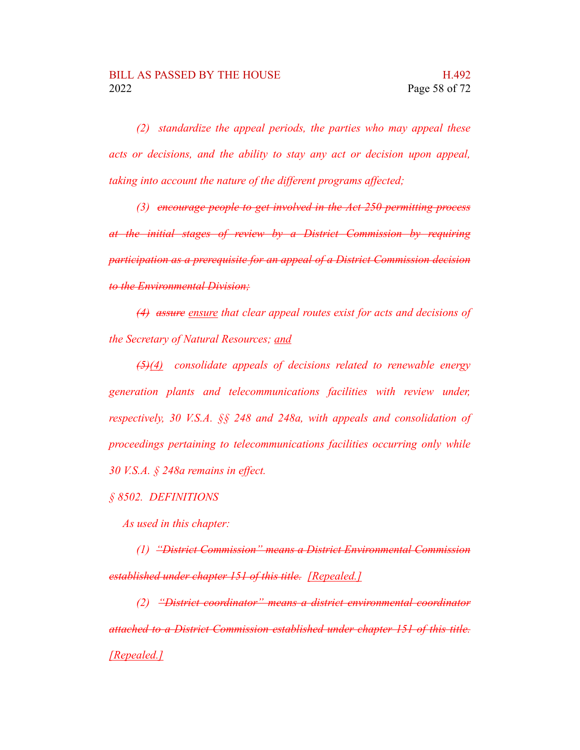*(2) standardize the appeal periods, the parties who may appeal these acts or decisions, and the ability to stay any act or decision upon appeal, taking into account the nature of the different programs affected;*

*(3) encourage people to get involved in the Act 250 permitting process at the initial stages of review by a District Commission by requiring participation as a prerequisite for an appeal of a District Commission decision to the Environmental Division;*

*(4) assure ensure that clear appeal routes exist for acts and decisions of the Secretary of Natural Resources; and*

*(5)(4) consolidate appeals of decisions related to renewable energy generation plants and telecommunications facilities with review under, respectively, 30 V.S.A. §§ 248 and 248a, with appeals and consolidation of proceedings pertaining to telecommunications facilities occurring only while 30 V.S.A. § 248a remains in effect.*

*§ 8502. DEFINITIONS*

*As used in this chapter:*

*(1) "District Commission" means a District Environmental Commission established under chapter 151 of this title. [Repealed.]*

*(2) "District coordinator" means a district environmental coordinator attached to a District Commission established under chapter 151 of this title. [Repealed.]*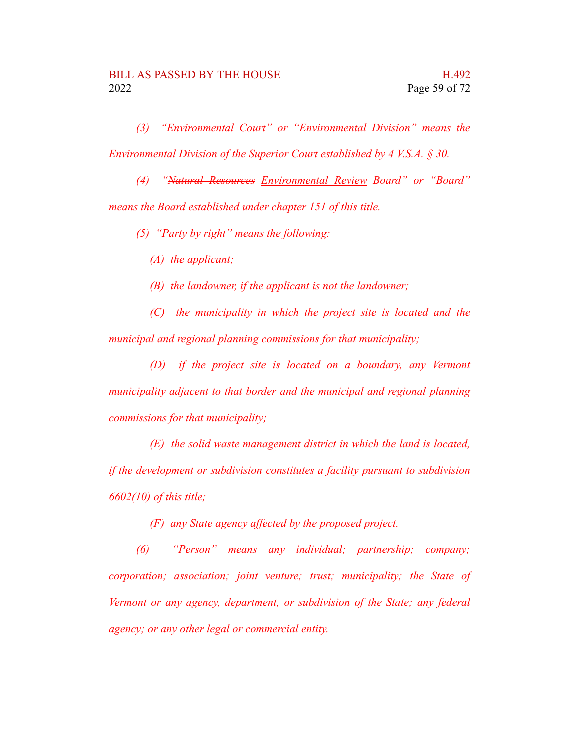*(3) "Environmental Court" or "Environmental Division" means the Environmental Division of the Superior Court established by 4 V.S.A. § 30.*

*(4) "Natural Resources Environmental Review Board" or "Board" means the Board established under chapter 151 of this title.*

*(5) "Party by right" means the following:*

*(A) the applicant;*

*(B) the landowner, if the applicant is not the landowner;*

*(C) the municipality in which the project site is located and the municipal and regional planning commissions for that municipality;*

*(D) if the project site is located on a boundary, any Vermont municipality adjacent to that border and the municipal and regional planning commissions for that municipality;*

*(E) the solid waste management district in which the land is located, if the development or subdivision constitutes a facility pursuant to subdivision 6602(10) of this title;*

*(F) any State agency affected by the proposed project.*

*(6) "Person" means any individual; partnership; company; corporation; association; joint venture; trust; municipality; the State of Vermont or any agency, department, or subdivision of the State; any federal agency; or any other legal or commercial entity.*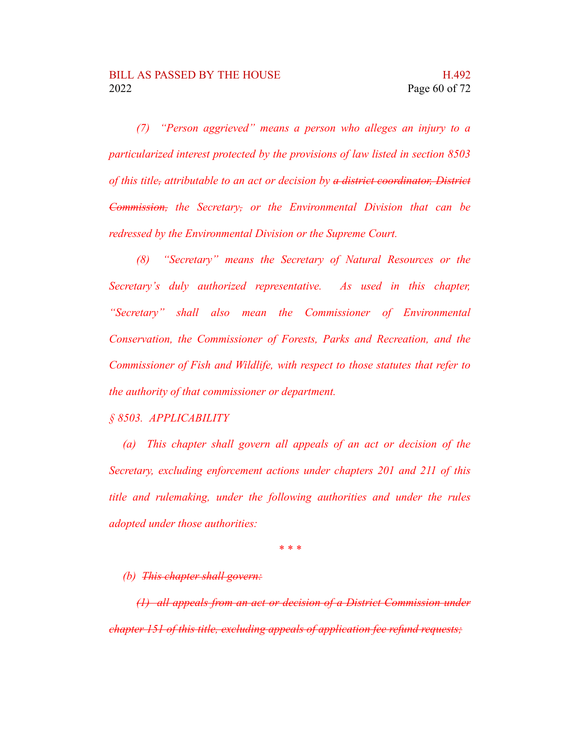*(7) "Person aggrieved" means a person who alleges an injury to a particularized interest protected by the provisions of law listed in section 8503 of this title, attributable to an act or decision by a district coordinator, District Commission, the Secretary, or the Environmental Division that can be redressed by the Environmental Division or the Supreme Court.*

*(8) "Secretary" means the Secretary of Natural Resources or the Secretary's duly authorized representative. As used in this chapter, "Secretary" shall also mean the Commissioner of Environmental Conservation, the Commissioner of Forests, Parks and Recreation, and the Commissioner of Fish and Wildlife, with respect to those statutes that refer to the authority of that commissioner or department.*

*§ 8503. APPLICABILITY*

*(a) This chapter shall govern all appeals of an act or decision of the Secretary, excluding enforcement actions under chapters 201 and 211 of this title and rulemaking, under the following authorities and under the rules adopted under those authorities:*

*\* \* \**

*(b) This chapter shall govern:*

*(1) all appeals from an act or decision of a District Commission under chapter 151 of this title, excluding appeals of application fee refund requests;*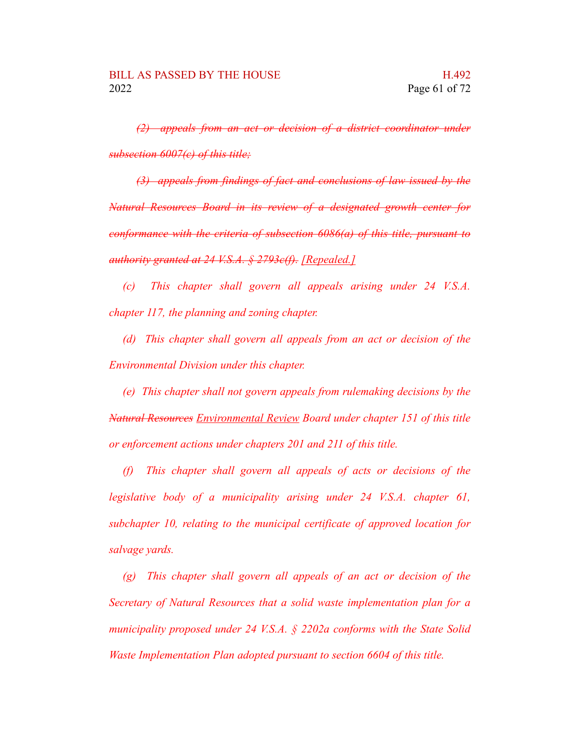*(2) appeals from an act or decision of a district coordinator under subsection 6007(c) of this title;*

*(3) appeals from findings of fact and conclusions of law issued by the Natural Resources Board in its review of a designated growth center for conformance with the criteria of subsection 6086(a) of this title, pursuant to authority granted at 24 V.S.A. § 2793c(f). [Repealed.]*

*(c) This chapter shall govern all appeals arising under 24 V.S.A. chapter 117, the planning and zoning chapter.*

*(d) This chapter shall govern all appeals from an act or decision of the Environmental Division under this chapter.*

*(e) This chapter shall not govern appeals from rulemaking decisions by the Natural Resources Environmental Review Board under chapter 151 of this title or enforcement actions under chapters 201 and 211 of this title.*

*(f) This chapter shall govern all appeals of acts or decisions of the legislative body of a municipality arising under 24 V.S.A. chapter 61, subchapter 10, relating to the municipal certificate of approved location for salvage yards.*

*(g) This chapter shall govern all appeals of an act or decision of the Secretary of Natural Resources that a solid waste implementation plan for a municipality proposed under 24 V.S.A. § 2202a conforms with the State Solid Waste Implementation Plan adopted pursuant to section 6604 of this title.*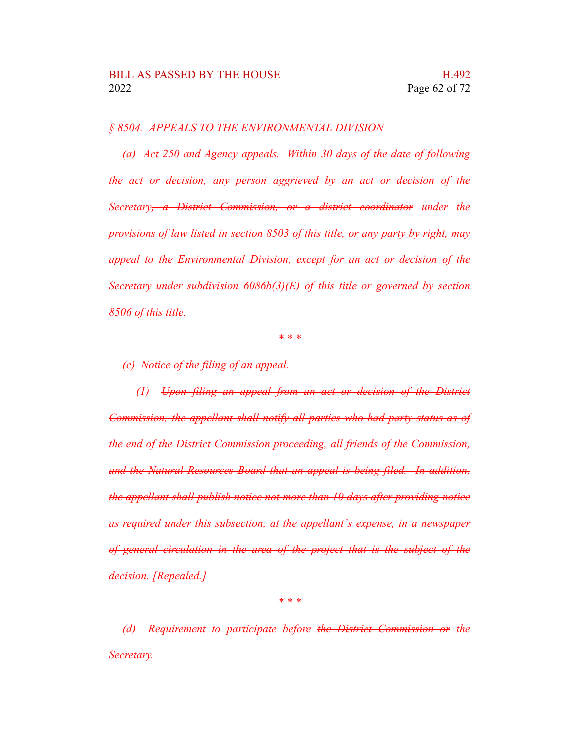## *§ 8504. APPEALS TO THE ENVIRONMENTAL DIVISION*

*(a) Act 250 and Agency appeals. Within 30 days of the date of following the act or decision, any person aggrieved by an act or decision of the Secretary, a District Commission, or a district coordinator under the provisions of law listed in section 8503 of this title, or any party by right, may appeal to the Environmental Division, except for an act or decision of the Secretary under subdivision 6086b(3)(E) of this title or governed by section 8506 of this title.*

*\* \* \**

*(c) Notice of the filing of an appeal.*

*(1) Upon filing an appeal from an act or decision of the District Commission, the appellant shall notify all parties who had party status as of the end of the District Commission proceeding, all friends of the Commission, and the Natural Resources Board that an appeal is being filed. In addition, the appellant shall publish notice not more than 10 days after providing notice as required under this subsection, at the appellant's expense, in a newspaper of general circulation in the area of the project that is the subject of the decision. [Repealed.]*

*\* \* \**

*(d) Requirement to participate before the District Commission or the Secretary.*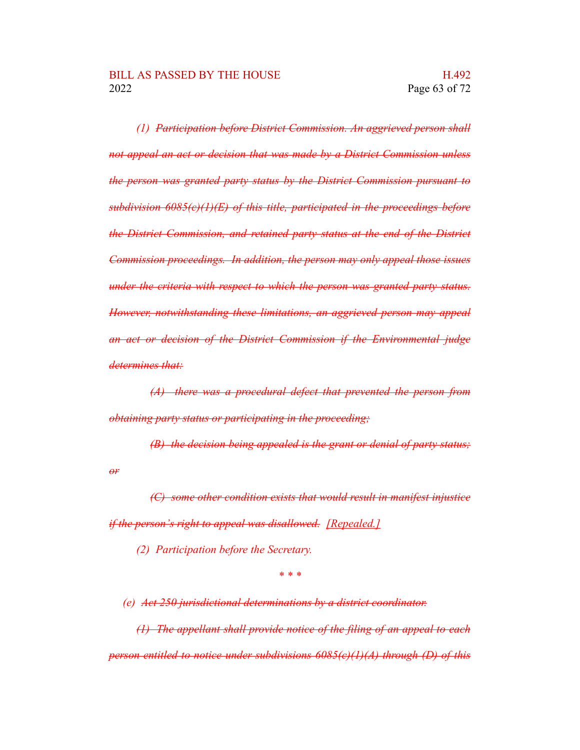*(1) Participation before District Commission. An aggrieved person shall not appeal an act or decision that was made by a District Commission unless the person was granted party status by the District Commission pursuant to subdivision 6085(c)(1)(E) of this title, participated in the proceedings before the District Commission, and retained party status at the end of the District Commission proceedings. In addition, the person may only appeal those issues under the criteria with respect to which the person was granted party status. However, notwithstanding these limitations, an aggrieved person may appeal an act or decision of the District Commission if the Environmental judge determines that:*

*(A) there was a procedural defect that prevented the person from obtaining party status or participating in the proceeding;*

*(B) the decision being appealed is the grant or denial of party status; or*

*(C) some other condition exists that would result in manifest injustice if the person's right to appeal was disallowed. [Repealed.]*

*(2) Participation before the Secretary.*

*\* \* \**

*(e) Act 250 jurisdictional determinations by a district coordinator.*

*(1) The appellant shall provide notice of the filing of an appeal to each person entitled to notice under subdivisions 6085(c)(1)(A) through (D) of this*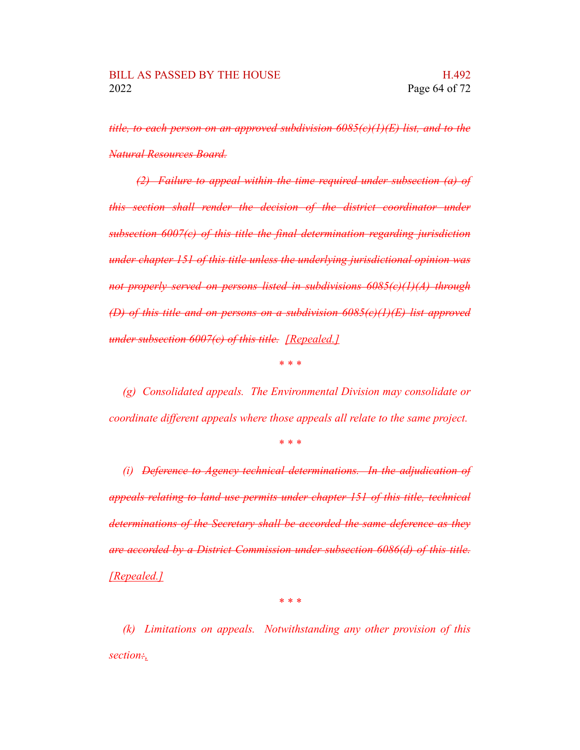*title, to each person on an approved subdivision 6085(c)(1)(E) list, and to the Natural Resources Board.*

*(2) Failure to appeal within the time required under subsection (a) of this section shall render the decision of the district coordinator under subsection 6007(c) of this title the final determination regarding jurisdiction under chapter 151 of this title unless the underlying jurisdictional opinion was not properly served on persons listed in subdivisions 6085(c)(1)(A) through (D) of this title and on persons on a subdivision 6085(c)(1)(E) list approved under subsection 6007(c) of this title. [Repealed.]*

*\* \* \**

*(g) Consolidated appeals. The Environmental Division may consolidate or coordinate different appeals where those appeals all relate to the same project.*

*\* \* \**

*(i) Deference to Agency technical determinations. In the adjudication of appeals relating to land use permits under chapter 151 of this title, technical determinations of the Secretary shall be accorded the same deference as they are accorded by a District Commission under subsection 6086(d) of this title. [Repealed.]*

*\* \* \**

*(k) Limitations on appeals. Notwithstanding any other provision of this section:,*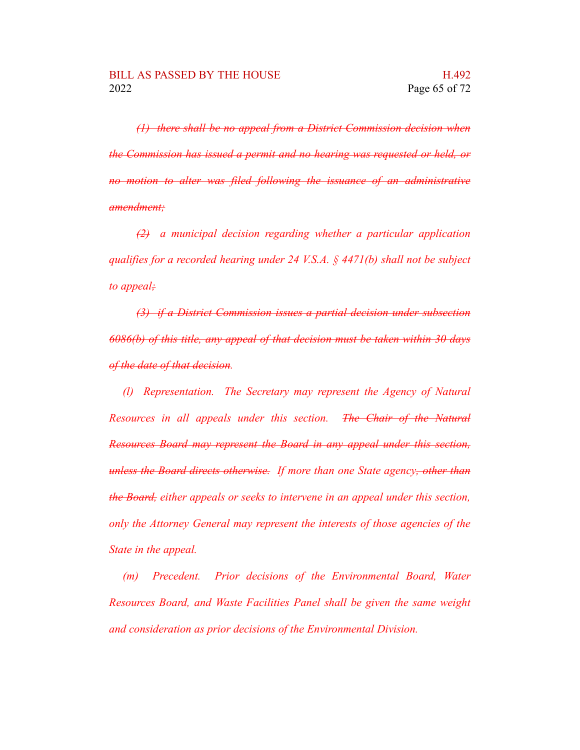*(1) there shall be no appeal from a District Commission decision when the Commission has issued a permit and no hearing was requested or held, or no motion to alter was filed following the issuance of an administrative amendment;*

*(2) a municipal decision regarding whether a particular application qualifies for a recorded hearing under 24 V.S.A. § 4471(b) shall not be subject to appeal;*

*(3) if a District Commission issues a partial decision under subsection 6086(b) of this title, any appeal of that decision must be taken within 30 days of the date of that decision.*

*(l) Representation. The Secretary may represent the Agency of Natural Resources in all appeals under this section. The Chair of the Natural Resources Board may represent the Board in any appeal under this section, unless the Board directs otherwise. If more than one State agency, other than the Board, either appeals or seeks to intervene in an appeal under this section, only the Attorney General may represent the interests of those agencies of the State in the appeal.*

*(m) Precedent. Prior decisions of the Environmental Board, Water Resources Board, and Waste Facilities Panel shall be given the same weight and consideration as prior decisions of the Environmental Division.*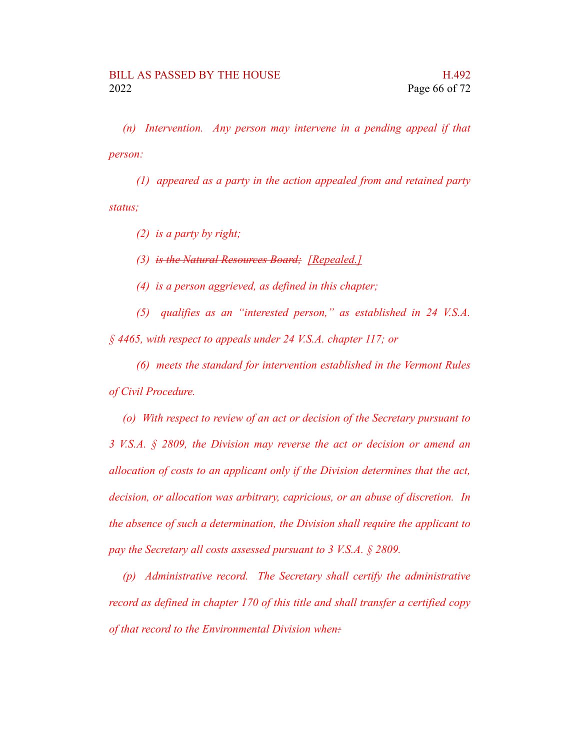*(n) Intervention. Any person may intervene in a pending appeal if that person:*

*(1) appeared as a party in the action appealed from and retained party status;*

*(2) is a party by right;*

*(3) is the Natural Resources Board; [Repealed.]*

*(4) is a person aggrieved, as defined in this chapter;*

*(5) qualifies as an "interested person," as established in 24 V.S.A. § 4465, with respect to appeals under 24 V.S.A. chapter 117; or*

*(6) meets the standard for intervention established in the Vermont Rules of Civil Procedure.*

*(o) With respect to review of an act or decision of the Secretary pursuant to 3 V.S.A. § 2809, the Division may reverse the act or decision or amend an allocation of costs to an applicant only if the Division determines that the act, decision, or allocation was arbitrary, capricious, or an abuse of discretion. In the absence of such a determination, the Division shall require the applicant to pay the Secretary all costs assessed pursuant to 3 V.S.A. § 2809.*

*(p) Administrative record. The Secretary shall certify the administrative record as defined in chapter 170 of this title and shall transfer a certified copy of that record to the Environmental Division when:*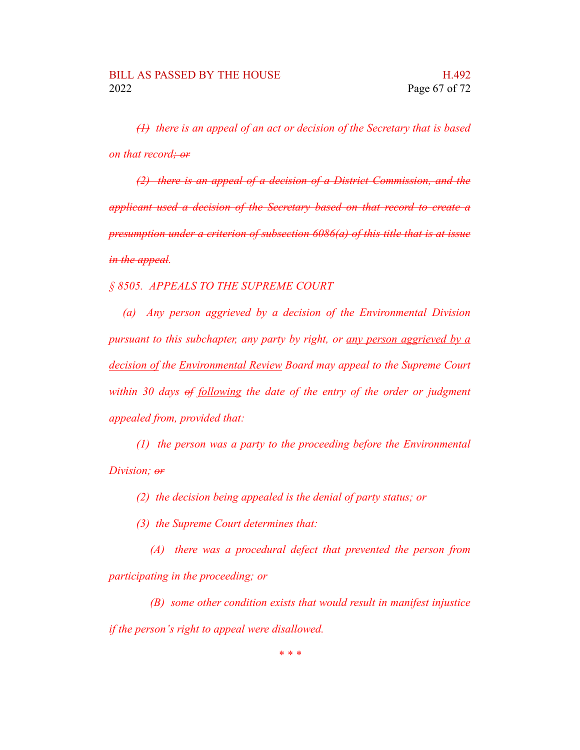*(1) there is an appeal of an act or decision of the Secretary that is based on that record; or*

*(2) there is an appeal of a decision of a District Commission, and the applicant used a decision of the Secretary based on that record to create a presumption under a criterion of subsection 6086(a) of this title that is at issue in the appeal.*

*§ 8505. APPEALS TO THE SUPREME COURT*

*(a) Any person aggrieved by a decision of the Environmental Division pursuant to this subchapter, any party by right, or any person aggrieved by a decision of the Environmental Review Board may appeal to the Supreme Court within 30 days of following the date of the entry of the order or judgment appealed from, provided that:*

*(1) the person was a party to the proceeding before the Environmental Division; or*

*(2) the decision being appealed is the denial of party status; or*

*(3) the Supreme Court determines that:*

*(A) there was a procedural defect that prevented the person from participating in the proceeding; or*

*(B) some other condition exists that would result in manifest injustice if the person's right to appeal were disallowed.*

*\* \* \**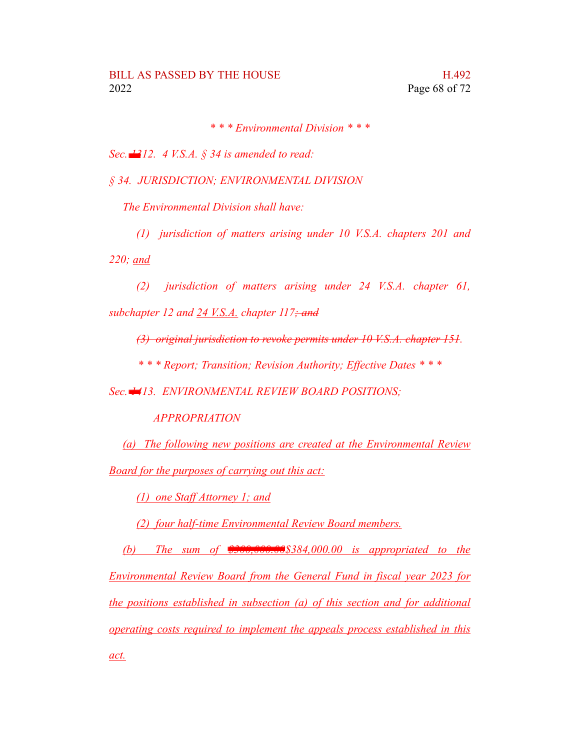*\* \* \* Environmental Division \* \* \**

*Sec. 1312. 4 V.S.A. § 34 is amended to read:*

*§ 34. JURISDICTION; ENVIRONMENTAL DIVISION*

*The Environmental Division shall have:*

*(1) jurisdiction of matters arising under 10 V.S.A. chapters 201 and*

*220; and*

*(2) jurisdiction of matters arising under 24 V.S.A. chapter 61, subchapter 12 and 24 V.S.A. chapter 117; and*

*(3) original jurisdiction to revoke permits under 10 V.S.A. chapter 151.*

*\* \* \* Report; Transition; Revision Authority; Effective Dates \* \* \**

*Sec. 1413. ENVIRONMENTAL REVIEW BOARD POSITIONS;*

*APPROPRIATION*

*(a) The following new positions are created at the Environmental Review Board for the purposes of carrying out this act:*

*(1) one Staff Attorney 1; and*

*(2) four half-time Environmental Review Board members.*

*(b) The sum of \$300,000.00\$384,000.00 is appropriated to the Environmental Review Board from the General Fund in fiscal year 2023 for the positions established in subsection (a) of this section and for additional operating costs required to implement the appeals process established in this act.*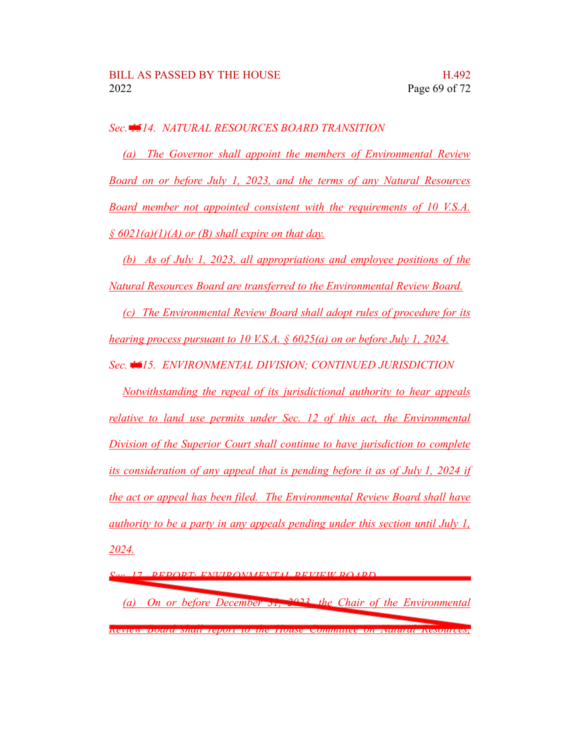## *Sec. 1514. NATURAL RESOURCES BOARD TRANSITION*

*(a) The Governor shall appoint the members of Environmental Review Board on or before July 1, 2023, and the terms of any Natural Resources Board member not appointed consistent with the requirements of 10 V.S.A. § 6021(a)(1)(A) or (B) shall expire on that day.*

*(b) As of July 1, 2023, all appropriations and employee positions of the Natural Resources Board are transferred to the Environmental Review Board.*

*(c) The Environmental Review Board shall adopt rules of procedure for its hearing process pursuant to 10 V.S.A. § 6025(a) on or before July 1, 2024.*

*Sec. 1615. ENVIRONMENTAL DIVISION; CONTINUED JURISDICTION*

*Notwithstanding the repeal of its jurisdictional authority to hear appeals relative to land use permits under Sec. 12 of this act, the Environmental Division of the Superior Court shall continue to have jurisdiction to complete its consideration of any appeal that is pending before it as of July 1, 2024 if the act or appeal has been filed. The Environmental Review Board shall have authority to be a party in any appeals pending under this section until July 1, 2024.*

*Sec. 17. REPORT; ENVIRONMENTAL REVIEW BOARD*

*(a) On or before December 31, 2023, the Chair of the Environmental Review Board shall report to the House Committee on Natural Resources,*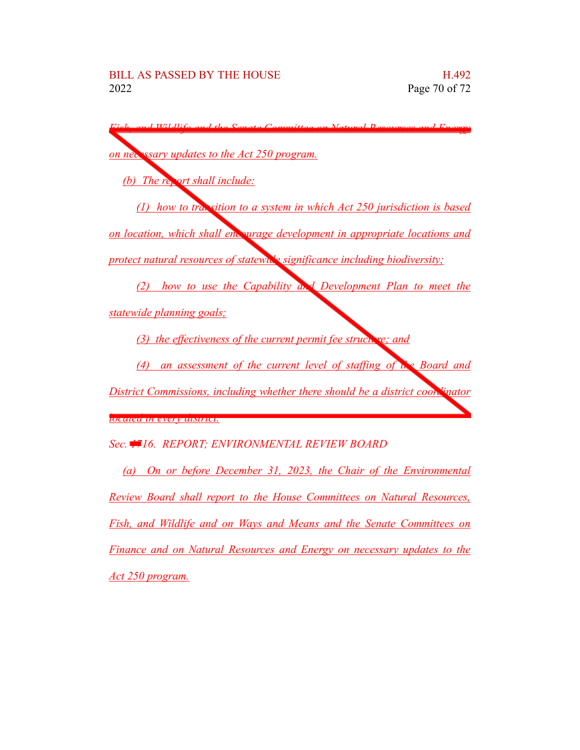| d Wildlifa<br>and the Conate<br>ual Docourses an                                |
|---------------------------------------------------------------------------------|
|                                                                                 |
| on necessary updates to the Act 250 program.                                    |
| (b) The report shall include:                                                   |
| $(1)$ how to transition to a system in which Act 250 jurisdiction is based      |
| on location, which shall end wrage development in appropriate locations and     |
| protect natural resources of statewn's significance including biodiversity;     |
| (2) how to use the Capability and Development Plan to meet the                  |
| statewide planning goals;                                                       |
| (3) the effectiveness of the current permit fee structure; and                  |
| (4) an assessment of the current level of staffing of the Board and             |
| District Commissions, including whether there should be a district coon Finator |
| <mark>waand in every aistrict.</mark>                                           |
| Sec. #16. REPORT; ENVIRONMENTAL REVIEW BOARD                                    |
| (a) On or before December 31, 2023, the Chair of the Environmental              |
| Review Board shall report to the House Committees on Natural Resources,         |
| Fish, and Wildlife and on Ways and Means and the Senate Committees on           |
| Finance and on Natural Resources and Energy on necessary updates to the         |

*Act 250 program.*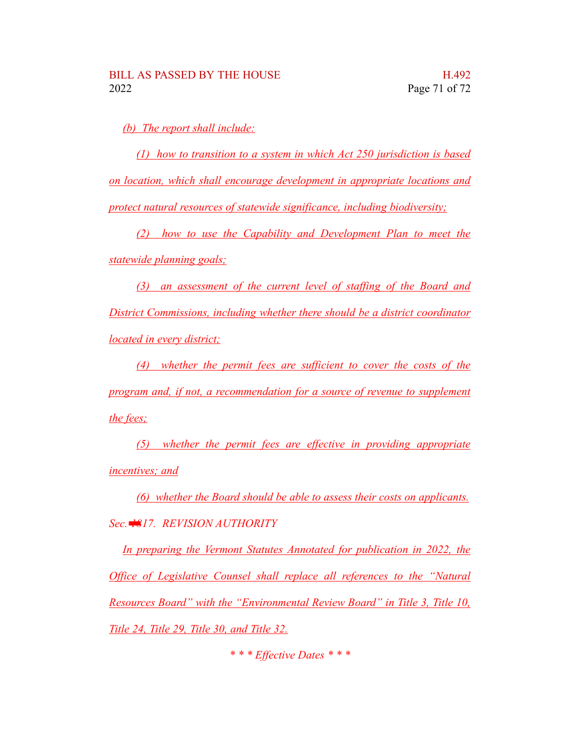*(b) The report shall include:*

*(1) how to transition to a system in which Act 250 jurisdiction is based on location, which shall encourage development in appropriate locations and protect natural resources of statewide significance, including biodiversity;*

*(2) how to use the Capability and Development Plan to meet the statewide planning goals;*

*(3) an assessment of the current level of staffing of the Board and District Commissions, including whether there should be a district coordinator located in every district;*

*(4) whether the permit fees are sufficient to cover the costs of the program and, if not, a recommendation for a source of revenue to supplement the fees;*

*(5) whether the permit fees are effective in providing appropriate incentives; and*

*(6) whether the Board should be able to assess their costs on applicants. Sec. 1817. REVISION AUTHORITY*

*In preparing the Vermont Statutes Annotated for publication in 2022, the Office of Legislative Counsel shall replace all references to the "Natural Resources Board" with the "Environmental Review Board" in Title 3, Title 10, Title 24, Title 29, Title 30, and Title 32.*

*\* \* \* Effective Dates \* \* \**